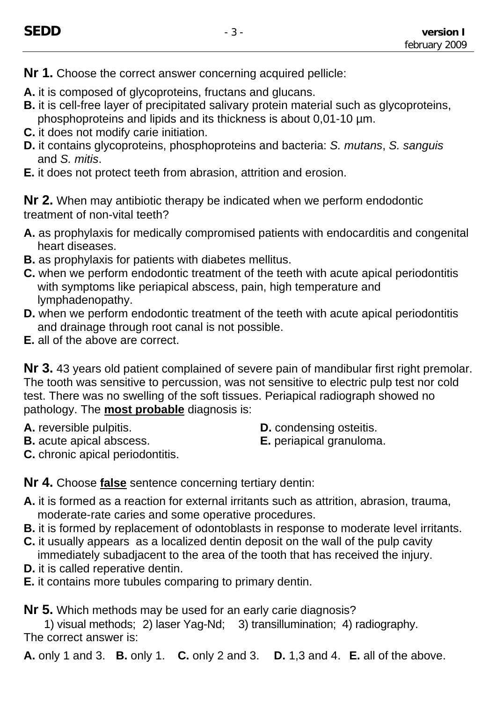- **Nr 1.** Choose the correct answer concerning acquired pellicle:
- **A.** it is composed of glycoproteins, fructans and glucans.
- **B.** it is cell-free layer of precipitated salivary protein material such as glycoproteins, phosphoproteins and lipids and its thickness is about 0,01-10 µm.
- **C.** it does not modify carie initiation.
- **D.** it contains glycoproteins, phosphoproteins and bacteria: *S. mutans*, *S. sanguis* and *S. mitis*.
- **E.** it does not protect teeth from abrasion, attrition and erosion.

**Nr 2.** When may antibiotic therapy be indicated when we perform endodontic treatment of non-vital teeth?

- **A.** as prophylaxis for medically compromised patients with endocarditis and congenital heart diseases.
- **B.** as prophylaxis for patients with diabetes mellitus.
- **C.** when we perform endodontic treatment of the teeth with acute apical periodontitis with symptoms like periapical abscess, pain, high temperature and lymphadenopathy.
- **D.** when we perform endodontic treatment of the teeth with acute apical periodontitis and drainage through root canal is not possible.
- **E.** all of the above are correct.

**Nr 3.** 43 years old patient complained of severe pain of mandibular first right premolar. The tooth was sensitive to percussion, was not sensitive to electric pulp test nor cold test. There was no swelling of the soft tissues. Periapical radiograph showed no pathology. The **most probable** diagnosis is:

- 
- **A.** reversible pulpitis. **D.** condensing osteitis.
- **B.** acute apical abscess. **E.** periapical granuloma.
- 

**C.** chronic apical periodontitis.

**Nr 4.** Choose **false** sentence concerning tertiary dentin:

- **A.** it is formed as a reaction for external irritants such as attrition, abrasion, trauma, moderate-rate caries and some operative procedures.
- **B.** it is formed by replacement of odontoblasts in response to moderate level irritants.
- **C.** it usually appears as a localized dentin deposit on the wall of the pulp cavity immediately subadjacent to the area of the tooth that has received the injury.
- **D.** it is called reperative dentin.
- **E.** it contains more tubules comparing to primary dentin.

**Nr 5.** Which methods may be used for an early carie diagnosis?

1) visual methods; 2) laser Yag-Nd; 3) transillumination; 4) radiography. The correct answer is:

**A.** only 1 and 3. **B.** only 1. **C.** only 2 and 3. **D.** 1,3 and 4. **E.** all of the above.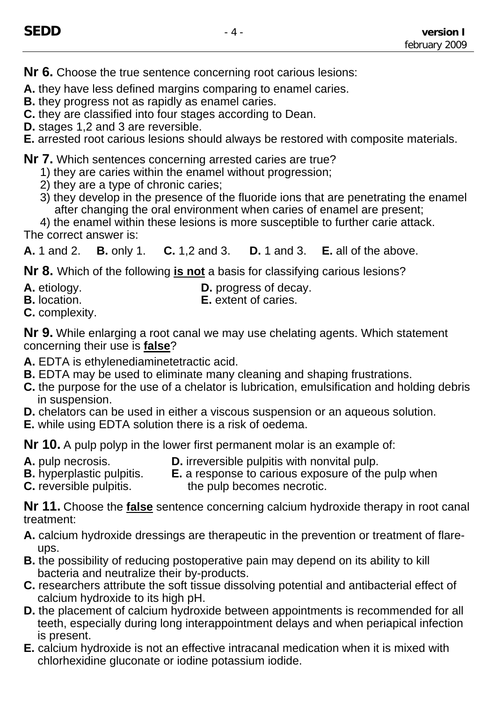**Nr 6.** Choose the true sentence concerning root carious lesions:

**A.** they have less defined margins comparing to enamel caries.

- **B.** they progress not as rapidly as enamel caries.
- **C.** they are classified into four stages according to Dean.
- **D.** stages 1,2 and 3 are reversible.

**E.** arrested root carious lesions should always be restored with composite materials.

**Nr 7.** Which sentences concerning arrested caries are true?

- 1) they are caries within the enamel without progression;
- 2) they are a type of chronic caries;
- 3) they develop in the presence of the fluoride ions that are penetrating the enamel after changing the oral environment when caries of enamel are present;

4) the enamel within these lesions is more susceptible to further carie attack. The correct answer is:

**A.** 1 and 2. **B.** only 1. **C.** 1,2 and 3. **D.** 1 and 3. **E.** all of the above.

**Nr 8.** Which of the following **is not** a basis for classifying carious lesions?

- **A.** etiology. **D.** progress of decay.
- **B.** location. **E.** extent of caries.
- **C.** complexity.

**Nr 9.** While enlarging a root canal we may use chelating agents. Which statement concerning their use is **false**?

- **A.** EDTA is ethylenediaminetetractic acid.
- **B.** EDTA may be used to eliminate many cleaning and shaping frustrations.
- **C.** the purpose for the use of a chelator is lubrication, emulsification and holding debris in suspension.
- **D.** chelators can be used in either a viscous suspension or an aqueous solution.
- **E.** while using EDTA solution there is a risk of oedema.

**Nr 10.** A pulp polyp in the lower first permanent molar is an example of:

- 
- **A.** pulp necrosis.<br>**B.** hyperplastic pulpitis. **E.** a response to carious exposure of the
- 
- **E.** a response to carious exposure of the pulp when **C.** reversible pulpitis. the pulp becomes necrotic.

**Nr 11.** Choose the **false** sentence concerning calcium hydroxide therapy in root canal treatment:

- **A.** calcium hydroxide dressings are therapeutic in the prevention or treatment of flareups.
- **B.** the possibility of reducing postoperative pain may depend on its ability to kill bacteria and neutralize their by-products.
- **C.** researchers attribute the soft tissue dissolving potential and antibacterial effect of calcium hydroxide to its high pH.
- **D.** the placement of calcium hydroxide between appointments is recommended for all teeth, especially during long interappointment delays and when periapical infection is present.
- **E.** calcium hydroxide is not an effective intracanal medication when it is mixed with chlorhexidine gluconate or iodine potassium iodide.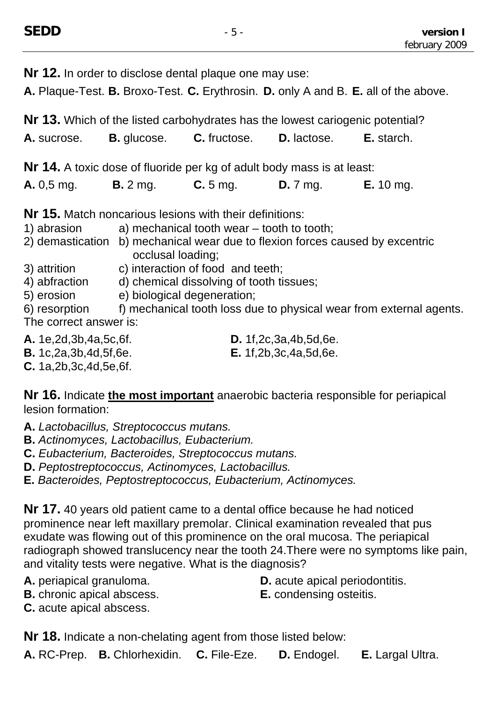| <b>Nr 12.</b> In order to disclose dental plaque one may use:<br>A. Plaque-Test. B. Broxo-Test. C. Erythrosin. D. only A and B. E. all of the above.                                                                                                                                                                                              |                   |                                                                             |                                   |                                                                                                                                                                    |  |  |  |
|---------------------------------------------------------------------------------------------------------------------------------------------------------------------------------------------------------------------------------------------------------------------------------------------------------------------------------------------------|-------------------|-----------------------------------------------------------------------------|-----------------------------------|--------------------------------------------------------------------------------------------------------------------------------------------------------------------|--|--|--|
| Nr 13. Which of the listed carbohydrates has the lowest cariogenic potential?                                                                                                                                                                                                                                                                     |                   |                                                                             |                                   |                                                                                                                                                                    |  |  |  |
| <b>A.</b> sucrose.                                                                                                                                                                                                                                                                                                                                |                   | <b>B.</b> glucose. <b>C.</b> fructose. <b>D.</b> lactose. <b>E.</b> starch. |                                   |                                                                                                                                                                    |  |  |  |
| Nr 14. A toxic dose of fluoride per kg of adult body mass is at least:                                                                                                                                                                                                                                                                            |                   |                                                                             |                                   |                                                                                                                                                                    |  |  |  |
| <b>A.</b> 0,5 mg. <b>B.</b> 2 mg. <b>C.</b> 5 mg. <b>D.</b> 7 mg. <b>E.</b> 10 mg.                                                                                                                                                                                                                                                                |                   |                                                                             |                                   |                                                                                                                                                                    |  |  |  |
| <b>Nr 15.</b> Match noncarious lesions with their definitions:<br>1) abrasion $\qquad$ a) mechanical tooth wear $-$ tooth to tooth;<br>3) attrition c) interaction of food and teeth;<br>4) abfraction d) chemical dissolving of tooth tissues;<br>5) erosion e) biological degeneration;<br>The correct answer is:<br>A. 1e, 2d, 3b, 4a, 5c, 6f. | occlusal loading; |                                                                             | D. 1f, 2c, 3a, 4b, 5d, 6e.        | 2) demastication b) mechanical wear due to flexion forces caused by excentric<br>6) resorption f) mechanical tooth loss due to physical wear from external agents. |  |  |  |
| <b>B.</b> 1c, 2a, 3b, 4d, 5f, 6e.                                                                                                                                                                                                                                                                                                                 |                   |                                                                             | <b>E.</b> 1f, 2b, 3c, 4a, 5d, 6e. |                                                                                                                                                                    |  |  |  |

**C.** 1a,2b,3c,4d,5e,6f.

**Nr 16.** Indicate **the most important** anaerobic bacteria responsible for periapical lesion formation:

- **A.** *Lactobacillus, Streptococcus mutans.*
- **B.** *Actinomyces, Lactobacillus, Eubacterium.*
- **C.** *Eubacterium, Bacteroides, Streptococcus mutans.*
- **D.** *Peptostreptococcus, Actinomyces, Lactobacillus.*
- **E.** *Bacteroides, Peptostreptococcus, Eubacterium, Actinomyces.*

**Nr 17.** 40 years old patient came to a dental office because he had noticed prominence near left maxillary premolar. Clinical examination revealed that pus exudate was flowing out of this prominence on the oral mucosa. The periapical radiograph showed translucency near the tooth 24.There were no symptoms like pain, and vitality tests were negative. What is the diagnosis?

- 
- **B.** chronic apical abscess. **E.** condensing osteitis.
- **C.** acute apical abscess.

**A.** periapical granuloma. **D.** acute apical periodontitis.

**Nr 18.** Indicate a non-chelating agent from those listed below:

**A.** RC-Prep. **B.** Chlorhexidin. **C.** File-Eze. **D.** Endogel. **E.** Largal Ultra.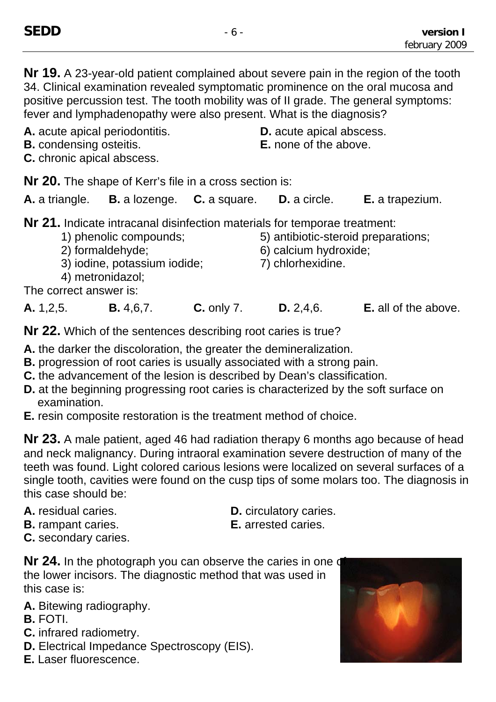**Nr 19.** A 23-year-old patient complained about severe pain in the region of the tooth 34. Clinical examination revealed symptomatic prominence on the oral mucosa and positive percussion test. The tooth mobility was of II grade. The general symptoms: fever and lymphadenopathy were also present. What is the diagnosis?

**A.** acute apical periodontitis. **D.** acute apical abscess.

**B.** condensing osteitis. **E.** none of the above.

**C.** chronic apical abscess.

**Nr 20.** The shape of Kerr's file in a cross section is:

| A. a triangle.                                                            | <b>B.</b> a lozenge. <b>C.</b> a square. |  | <b>D.</b> a circle.                 | <b>E.</b> a trapezium. |  |  |  |
|---------------------------------------------------------------------------|------------------------------------------|--|-------------------------------------|------------------------|--|--|--|
| Nr 21. Indicate intracanal disinfection materials for temporae treatment: |                                          |  |                                     |                        |  |  |  |
| 1) phenolic compounds;                                                    |                                          |  | 5) antibiotic-steroid preparations; |                        |  |  |  |
| 2) formaldehyde;                                                          |                                          |  | 6) calcium hydroxide;               |                        |  |  |  |
| 3) iodine, potassium iodide;                                              |                                          |  | 7) chlorhexidine.                   |                        |  |  |  |

4) metronidazol;

The correct answer is:

**A.** 1,2,5. **B.** 4,6,7. **C.** only 7. **D.** 2,4,6. **E.** all of the above.

**Nr 22.** Which of the sentences describing root caries is true?

- **A.** the darker the discoloration, the greater the demineralization.
- **B.** progression of root caries is usually associated with a strong pain.
- **C.** the advancement of the lesion is described by Dean's classification.
- **D.** at the beginning progressing root caries is characterized by the soft surface on examination.
- **E.** resin composite restoration is the treatment method of choice.

**Nr 23.** A male patient, aged 46 had radiation therapy 6 months ago because of head and neck malignancy. During intraoral examination severe destruction of many of the teeth was found. Light colored carious lesions were localized on several surfaces of a single tooth, cavities were found on the cusp tips of some molars too. The diagnosis in this case should be:

- 
- **B.** rampant caries. **E.** arrested caries.
- **A.** residual caries. **D.** circulatory caries.
	-

**C.** secondary caries.

**Nr 24.** In the photograph you can observe the caries in one q the lower incisors. The diagnostic method that was used in this case is:

- **A.** Bitewing radiography.
- **B.** FOTI.
- **C.** infrared radiometry.
- **D.** Electrical Impedance Spectroscopy (EIS).
- **E.** Laser fluorescence.

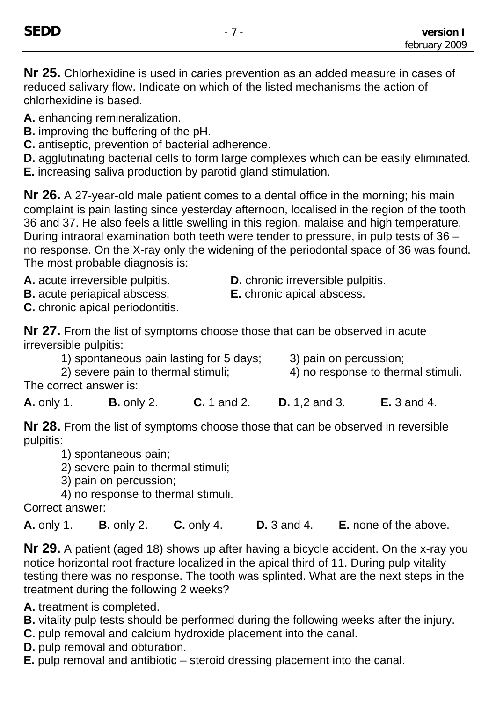**Nr 25.** Chlorhexidine is used in caries prevention as an added measure in cases of reduced salivary flow. Indicate on which of the listed mechanisms the action of chlorhexidine is based.

- **A.** enhancing remineralization.
- **B.** improving the buffering of the pH.
- **C.** antiseptic, prevention of bacterial adherence.
- **D.** agglutinating bacterial cells to form large complexes which can be easily eliminated.
- **E.** increasing saliva production by parotid gland stimulation.

**Nr 26.** A 27-year-old male patient comes to a dental office in the morning; his main complaint is pain lasting since yesterday afternoon, localised in the region of the tooth 36 and 37. He also feels a little swelling in this region, malaise and high temperature. During intraoral examination both teeth were tender to pressure, in pulp tests of 36 – no response. On the X-ray only the widening of the periodontal space of 36 was found. The most probable diagnosis is:

**B.** acute periapical abscess. **E.** chronic apical abscess.

**C.** chronic apical periodontitis.

A. acute irreversible pulpitis. **D.** chronic irreversible pulpitis.

**Nr 27.** From the list of symptoms choose those that can be observed in acute irreversible pulpitis:

- 1) spontaneous pain lasting for 5 days; 3) pain on percussion;
- 
- 
- 2) severe pain to thermal stimuli; 4) no response to thermal stimuli.

The correct answer is:

**A.** only 1. **B.** only 2. **C.** 1 and 2. **D.** 1,2 and 3. **E.** 3 and 4.

**Nr 28.** From the list of symptoms choose those that can be observed in reversible pulpitis:

- 1) spontaneous pain;
- 2) severe pain to thermal stimuli;
- 3) pain on percussion;
- 4) no response to thermal stimuli.

Correct answer:

**A.** only 1. **B.** only 2. **C.** only 4. **D.** 3 and 4. **E.** none of the above.

**Nr 29.** A patient (aged 18) shows up after having a bicycle accident. On the x-ray you notice horizontal root fracture localized in the apical third of 11. During pulp vitality testing there was no response. The tooth was splinted. What are the next steps in the treatment during the following 2 weeks?

**A.** treatment is completed.

- **B.** vitality pulp tests should be performed during the following weeks after the injury.
- **C.** pulp removal and calcium hydroxide placement into the canal.
- **D.** pulp removal and obturation.
- **E.** pulp removal and antibiotic steroid dressing placement into the canal.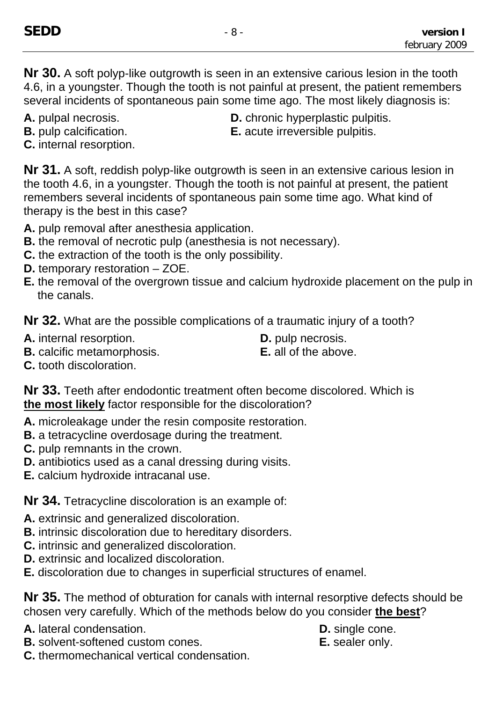**Nr 30.** A soft polyp-like outgrowth is seen in an extensive carious lesion in the tooth 4.6, in a youngster. Though the tooth is not painful at present, the patient remembers several incidents of spontaneous pain some time ago. The most likely diagnosis is:

- 
- 
- **A.** pulpal necrosis. **D.** chronic hyperplastic pulpitis.
- **B.** pulp calcification. **E.** acute irreversible pulpitis.
- **C.** internal resorption.

**Nr 31.** A soft, reddish polyp-like outgrowth is seen in an extensive carious lesion in the tooth 4.6, in a youngster. Though the tooth is not painful at present, the patient remembers several incidents of spontaneous pain some time ago. What kind of therapy is the best in this case?

- **A.** pulp removal after anesthesia application.
- **B.** the removal of necrotic pulp (anesthesia is not necessary).
- **C.** the extraction of the tooth is the only possibility.
- **D.** temporary restoration ZOE.
- **E.** the removal of the overgrown tissue and calcium hydroxide placement on the pulp in the canals.

**Nr 32.** What are the possible complications of a traumatic injury of a tooth?

- **A.** internal resorption. **D.** pulp necrosis.
- **B.** calcific metamorphosis. **E.** all of the above.
- 
- 

**C.** tooth discoloration.

**Nr 33.** Teeth after endodontic treatment often become discolored. Which is **the most likely** factor responsible for the discoloration?

- **A.** microleakage under the resin composite restoration.
- **B.** a tetracycline overdosage during the treatment.
- **C.** pulp remnants in the crown.
- **D.** antibiotics used as a canal dressing during visits.
- **E.** calcium hydroxide intracanal use.

**Nr 34.** Tetracycline discoloration is an example of:

- **A.** extrinsic and generalized discoloration.
- **B.** intrinsic discoloration due to hereditary disorders.
- **C.** intrinsic and generalized discoloration.
- **D.** extrinsic and localized discoloration.
- **E.** discoloration due to changes in superficial structures of enamel.

**Nr 35.** The method of obturation for canals with internal resorptive defects should be chosen very carefully. Which of the methods below do you consider **the best**?

- **A.** lateral condensation. **D.** single cone.
- **B.** solvent-softened custom cones. **E.** sealer only.

**C.** thermomechanical vertical condensation.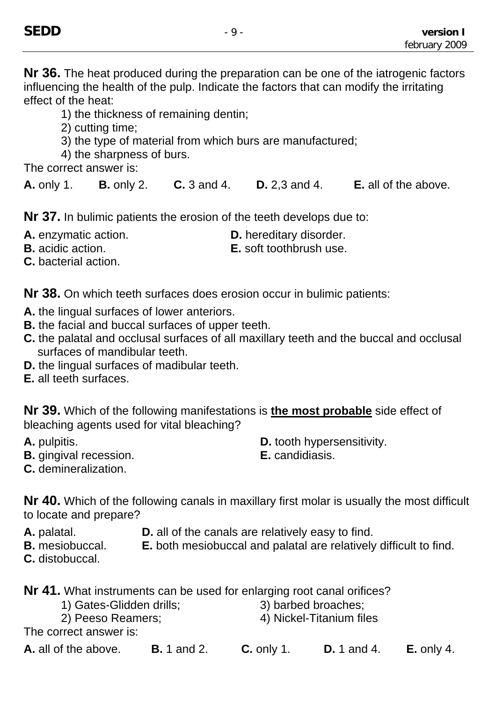**Nr 36.** The heat produced during the preparation can be one of the iatrogenic factors influencing the health of the pulp. Indicate the factors that can modify the irritating effect of the heat:

1) the thickness of remaining dentin;

2) cutting time;

- 3) the type of material from which burs are manufactured;
- 4) the sharpness of burs.

The correct answer is:

**A.** only 1. **B.** only 2. **C.** 3 and 4. **D.** 2,3 and 4. **E.** all of the above.

**Nr 37.** In bulimic patients the erosion of the teeth develops due to:

**A.** enzymatic action. **D.** hereditary disorder.

**B.** acidic action. **E.** soft toothbrush use.

**C.** bacterial action.

**Nr 38.** On which teeth surfaces does erosion occur in bulimic patients:

- **A.** the lingual surfaces of lower anteriors.
- **B.** the facial and buccal surfaces of upper teeth.
- **C.** the palatal and occlusal surfaces of all maxillary teeth and the buccal and occlusal surfaces of mandibular teeth.
- **D.** the lingual surfaces of madibular teeth.
- **E.** all teeth surfaces.

**Nr 39.** Which of the following manifestations is **the most probable** side effect of bleaching agents used for vital bleaching?

- 
- **A.** pulpitis. **A. A. pulpitis. D. D.** tooth hypersensitivity.
- **B.** gingival recession. **E.** candidiasis.
- 

**C.** demineralization.

**Nr 40.** Which of the following canals in maxillary first molar is usually the most difficult to locate and prepare?

- 
- **A.** palatal. **D.** all of the canals are relatively easy to find.<br>**B.** mesiobuccal. **E.** both mesiobuccal and palatal are relatively **E.** both mesiobuccal and palatal are relatively difficult to find.
- **C.** distobuccal.

**Nr 41.** What instruments can be used for enlarging root canal orifices?

- 1) Gates-Glidden drills; 3) barbed broaches;
	- 2) Peeso Reamers; 4) Nickel-Titanium files

The correct answer is:

**A.** all of the above. **B.** 1 and 2. **C.** only 1. **D.** 1 and 4. **E.** only 4.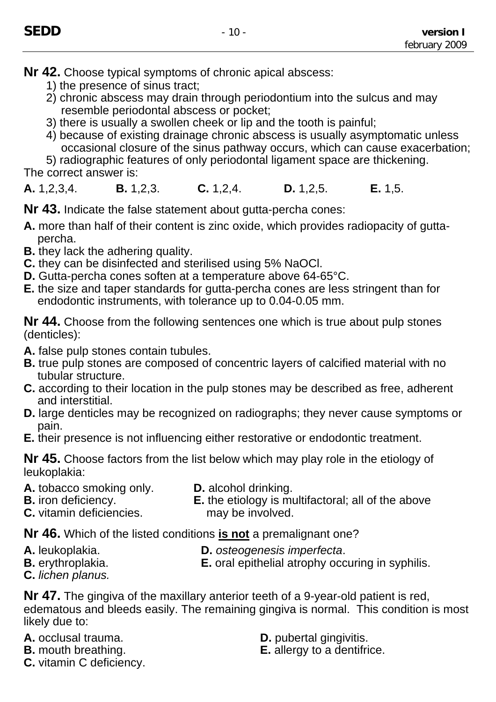- **Nr 42.** Choose typical symptoms of chronic apical abscess:
	- 1) the presence of sinus tract;
	- 2) chronic abscess may drain through periodontium into the sulcus and may resemble periodontal abscess or pocket;
	- 3) there is usually a swollen cheek or lip and the tooth is painful;
	- 4) because of existing drainage chronic abscess is usually asymptomatic unless occasional closure of the sinus pathway occurs, which can cause exacerbation;

5) radiographic features of only periodontal ligament space are thickening. The correct answer is:

**A.** 1,2,3,4. **B.** 1,2,3. **C.** 1,2,4. **D.** 1,2,5. **E.** 1,5.

**Nr 43.** Indicate the false statement about gutta-percha cones:

- **A.** more than half of their content is zinc oxide, which provides radiopacity of guttapercha.
- **B.** they lack the adhering quality.
- **C.** they can be disinfected and sterilised using 5% NaOCl.
- **D.** Gutta-percha cones soften at a temperature above 64-65°C.
- **E.** the size and taper standards for gutta-percha cones are less stringent than for endodontic instruments, with tolerance up to 0.04-0.05 mm.

**Nr 44.** Choose from the following sentences one which is true about pulp stones (denticles):

- **A.** false pulp stones contain tubules.
- **B.** true pulp stones are composed of concentric layers of calcified material with no tubular structure.
- **C.** according to their location in the pulp stones may be described as free, adherent and interstitial.
- **D.** large denticles may be recognized on radiographs; they never cause symptoms or pain.
- **E.** their presence is not influencing either restorative or endodontic treatment.

**Nr 45.** Choose factors from the list below which may play role in the etiology of leukoplakia:

- **A.** tobacco smoking only. **D.** alcohol drinking.
	-
- 
- 
- **B.** iron deficiency. **E.** the etiology is multifactoral; all of the above
- **C.** vitamin deficiencies. may be involved.
- **Nr 46.** Which of the listed conditions **is not** a premalignant one?
- 
- **A.** leukoplakia. **D.** *osteogenesis imperfecta*.
- **B.** erythroplakia. **E.** oral epithelial atrophy occuring in syphilis.
- **C.** *lichen planus.*

**Nr 47.** The gingiva of the maxillary anterior teeth of a 9-year-old patient is red, edematous and bleeds easily. The remaining gingiva is normal. This condition is most likely due to:

- 
- 
- **C.** vitamin C deficiency.
- **A.** occlusal trauma. **D.** pubertal gingivitis.
- **B.** mouth breathing. **E.** allergy to a dentifrice.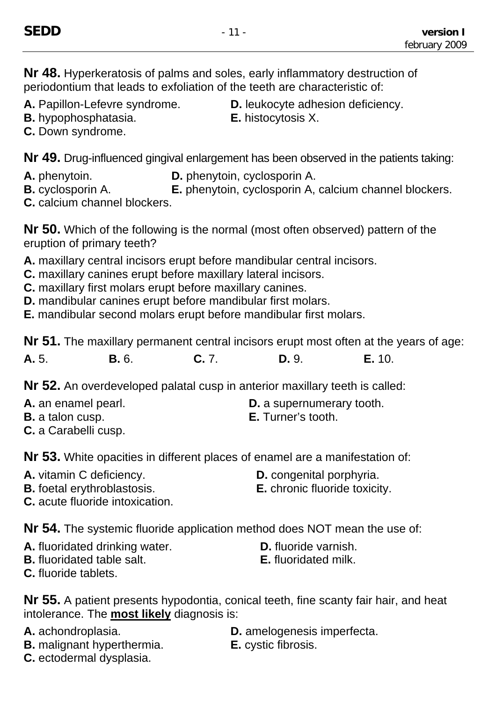**Nr 48.** Hyperkeratosis of palms and soles, early inflammatory destruction of periodontium that leads to exfoliation of the teeth are characteristic of:

- 
- **B.** hypophosphatasia. **E.** histocytosis X. **C.** Down syndrome.

A. Papillon-Lefevre syndrome. D. leukocyte adhesion deficiency.

**Nr 49.** Drug-influenced gingival enlargement has been observed in the patients taking:

**A.** phenytoin. **D.** phenytoin, cyclosporin A.

**B.** cyclosporin A. **E.** phenytoin, cyclosporin A, calcium channel blockers. **C.** calcium channel blockers.

**Nr 50.** Which of the following is the normal (most often observed) pattern of the eruption of primary teeth?

- **A.** maxillary central incisors erupt before mandibular central incisors.
- **C.** maxillary canines erupt before maxillary lateral incisors.
- **C.** maxillary first molars erupt before maxillary canines.
- **D.** mandibular canines erupt before mandibular first molars.

**E.** mandibular second molars erupt before mandibular first molars.

**Nr 51.** The maxillary permanent central incisors erupt most often at the years of age:

**A.** 5. **B.** 6. **C.** 7. **D.** 9. **E.** 10.

**Nr 52.** An overdeveloped palatal cusp in anterior maxillary teeth is called:

- **A.** an enamel pearl. **D. D.** a supernumerary tooth.
- **B.** a talon cusp. **E.** Turner's tooth.
- **C.** a Carabelli cusp.

**Nr 53.** White opacities in different places of enamel are a manifestation of:

- 
- **A.** vitamin C deficiency. **D.** congenital porphyria.
- **B.** foetal erythroblastosis. **E.** chronic fluoride toxicity.
- -

**C.** acute fluoride intoxication.

**Nr 54.** The systemic fluoride application method does NOT mean the use of:

- **A.** fluoridated drinking water. **D.** fluoride varnish.
- **B.** fluoridated table salt. **E.** fluoridated milk.
- **C.** fluoride tablets.

**Nr 55.** A patient presents hypodontia, conical teeth, fine scanty fair hair, and heat intolerance. The **most likely** diagnosis is:

- 
- **B.** malignant hyperthermia. **E.** cystic fibrosis.
- A. achondroplasia. **D.** amelogenesis imperfecta.
	-

**C.** ectodermal dysplasia.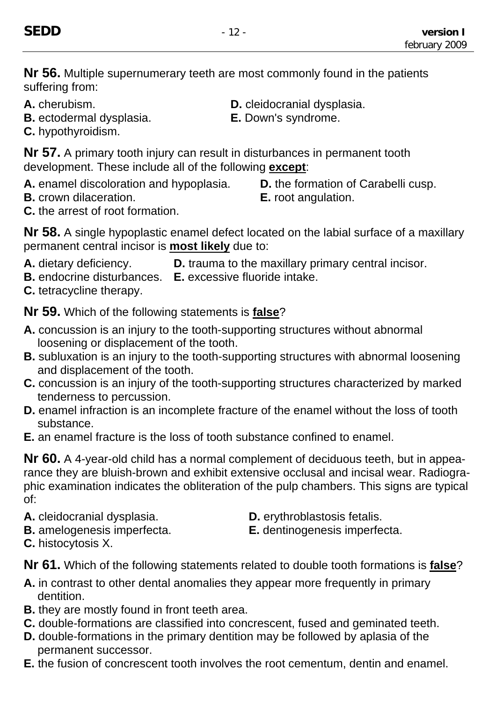**Nr 56.** Multiple supernumerary teeth are most commonly found in the patients suffering from:

- 
- **B.** ectodermal dysplasia. **E.** Down's syndrome.

**A.** cherubism. **D.** cleidocranial dysplasia.

**C.** hypothyroidism.

**Nr 57.** A primary tooth injury can result in disturbances in permanent tooth development. These include all of the following **except**:

- **A.** enamel discoloration and hypoplasia. **D.** the formation of Carabelli cusp.
- **B.** crown dilaceration. **E.** root angulation.
- **C.** the arrest of root formation.

**Nr 58.** A single hypoplastic enamel defect located on the labial surface of a maxillary permanent central incisor is **most likely** due to:

- **A.** dietary deficiency. **D.** trauma to the maxillary primary central incisor.
- **B.** endocrine disturbances. **E.** excessive fluoride intake.
- **C.** tetracycline therapy.

**Nr 59.** Which of the following statements is **false**?

- **A.** concussion is an injury to the tooth-supporting structures without abnormal loosening or displacement of the tooth.
- **B.** subluxation is an injury to the tooth-supporting structures with abnormal loosening and displacement of the tooth.
- **C.** concussion is an injury of the tooth-supporting structures characterized by marked tenderness to percussion.
- **D.** enamel infraction is an incomplete fracture of the enamel without the loss of tooth substance.
- **E.** an enamel fracture is the loss of tooth substance confined to enamel.

**Nr 60.** A 4-year-old child has a normal complement of deciduous teeth, but in appearance they are bluish-brown and exhibit extensive occlusal and incisal wear. Radiographic examination indicates the obliteration of the pulp chambers. This signs are typical of:

- A. cleidocranial dysplasia. D. erythroblastosis fetalis.
	-
- 
- **B.** amelogenesis imperfecta. **E.** dentinogenesis imperfecta.
- **C.** histocytosis X.

**Nr 61.** Which of the following statements related to double tooth formations is **false**?

- **A.** in contrast to other dental anomalies they appear more frequently in primary dentition.
- **B.** they are mostly found in front teeth area.
- **C.** double-formations are classified into concrescent, fused and geminated teeth.
- **D.** double-formations in the primary dentition may be followed by aplasia of the permanent successor.
- **E.** the fusion of concrescent tooth involves the root cementum, dentin and enamel.
- 
-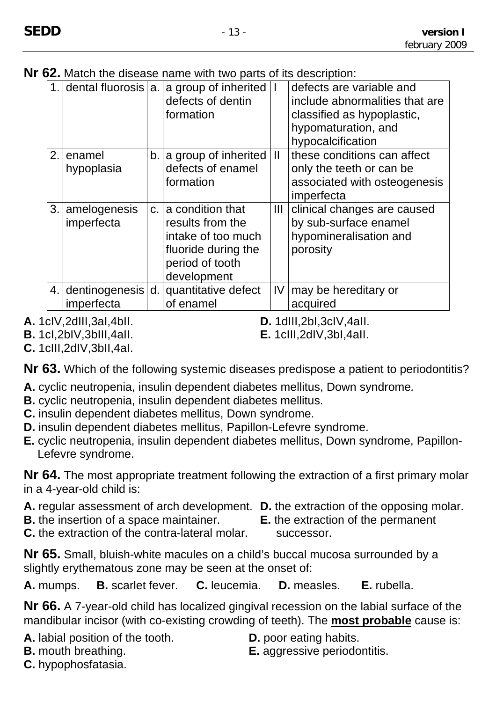**Nr 62.** Match the disease name with two parts of its description:

|     |                                 |    | 1. dental fluorosis $ a $ a group of inherited<br>defects of dentin<br>formation                                       |              | defects are variable and<br>include abnormalities that are<br>classified as hypoplastic,<br>hypomaturation, and<br>hypocalcification |
|-----|---------------------------------|----|------------------------------------------------------------------------------------------------------------------------|--------------|--------------------------------------------------------------------------------------------------------------------------------------|
| 2.1 | enamel<br>hypoplasia            |    | $b.$ a group of inherited<br>defects of enamel<br>formation                                                            | $\mathbf{H}$ | these conditions can affect<br>only the teeth or can be<br>associated with osteogenesis<br>imperfecta                                |
|     | 3. amelogenesis<br>imperfecta   |    | c. a condition that<br>results from the<br>intake of too much<br>fluoride during the<br>period of tooth<br>development | III          | clinical changes are caused<br>by sub-surface enamel<br>hypomineralisation and<br>porosity                                           |
|     | 4. dentinogenesis<br>imperfecta | d. | quantitative defect<br>of enamel                                                                                       | IV           | may be hereditary or<br>acquired                                                                                                     |

**A.** 1clV,2dIII,3aI,4bII. **D.** 1dIII,2bI,3clV,4aII.

**B.** 1cI,2bIV,3bIII,4aII. **E.** 1cIII,2dIV,3bI,4aII.

**C.** 1cIII,2dIV,3bII,4aI.

**Nr 63.** Which of the following systemic diseases predispose a patient to periodontitis?

- **A.** cyclic neutropenia, insulin dependent diabetes mellitus, Down syndrome*.*
- **B.** cyclic neutropenia, insulin dependent diabetes mellitus.
- **C.** insulin dependent diabetes mellitus, Down syndrome.
- **D.** insulin dependent diabetes mellitus, Papillon-Lefevre syndrome.
- **E.** cyclic neutropenia, insulin dependent diabetes mellitus, Down syndrome, Papillon-Lefevre syndrome.

**Nr 64.** The most appropriate treatment following the extraction of a first primary molar in a 4-year-old child is:

- **A.** regular assessment of arch development. **D.** the extraction of the opposing molar.
- **B.** the insertion of a space maintainer. **E.** the extraction of the permanent
- 
- **C.** the extraction of the contra-lateral molar. successor.

**Nr 65.** Small, bluish-white macules on a child's buccal mucosa surrounded by a slightly erythematous zone may be seen at the onset of:

**A.** mumps. **B.** scarlet fever. **C.** leucemia. **D.** measles. **E.** rubella.

**Nr 66.** A 7-year-old child has localized gingival recession on the labial surface of the mandibular incisor (with co-existing crowding of teeth). The **most probable** cause is:

**A.** labial position of the tooth. **D.** poor eating habits.

- 
- **B.** mouth breathing. **E.** aggressive periodontitis.
- **C.** hypophosfatasia.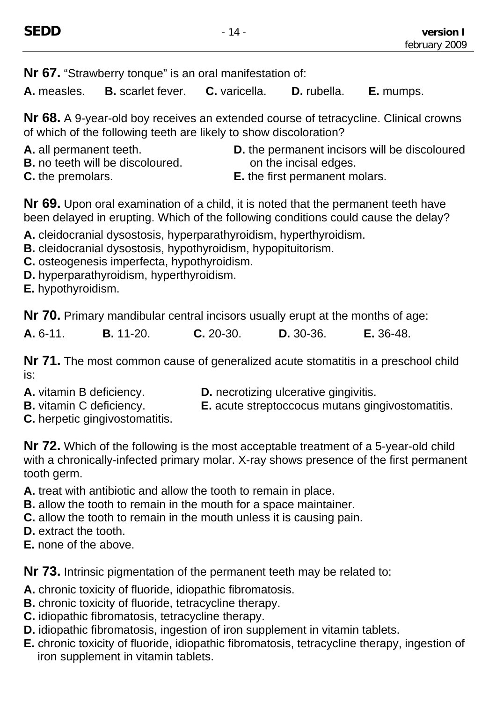**Nr 67.** "Strawberry tonque" is an oral manifestation of:

**A.** measles. **B.** scarlet fever. **C.** varicella. **D.** rubella. **E.** mumps.

**Nr 68.** A 9-year-old boy receives an extended course of tetracycline. Clinical crowns of which of the following teeth are likely to show discoloration?

- 
- **B.** no teeth will be discoloured. **but all incisal edges. but a** on the incisal edges.
- **A.** all permanent teeth. **D.** the permanent incisors will be discoloured
- 
- **C.** the premolars. **E.** the first permanent molars.

**Nr 69.** Upon oral examination of a child, it is noted that the permanent teeth have been delayed in erupting. Which of the following conditions could cause the delay?

- **A.** cleidocranial dysostosis, hyperparathyroidism, hyperthyroidism.
- **B.** cleidocranial dysostosis, hypothyroidism, hypopituitorism.
- **C.** osteogenesis imperfecta, hypothyroidism.
- **D.** hyperparathyroidism, hyperthyroidism.
- **E.** hypothyroidism.

**Nr 70.** Primary mandibular central incisors usually erupt at the months of age:

| A. 6-11. | <b>B.</b> 11-20. | $C. 20-30.$ | D. 30-36. | <b>E.</b> 36-48. |
|----------|------------------|-------------|-----------|------------------|
|          |                  |             |           |                  |

**Nr 71.** The most common cause of generalized acute stomatitis in a preschool child is:

- 
- **A.** vitamin B deficiency. **D.** necrotizing ulcerative gingivitis.
- **B.** vitamin C deficiency. **E.** acute streptoccocus mutans gingivostomatitis.
- **C.** herpetic gingivostomatitis.

**Nr 72.** Which of the following is the most acceptable treatment of a 5-year-old child with a chronically-infected primary molar. X-ray shows presence of the first permanent tooth germ.

**A.** treat with antibiotic and allow the tooth to remain in place.

- **B.** allow the tooth to remain in the mouth for a space maintainer.
- **C.** allow the tooth to remain in the mouth unless it is causing pain.
- **D.** extract the tooth.
- **E.** none of the above.

**Nr 73.** Intrinsic pigmentation of the permanent teeth may be related to:

- **A.** chronic toxicity of fluoride, idiopathic fibromatosis.
- **B.** chronic toxicity of fluoride, tetracycline therapy.
- **C.** idiopathic fibromatosis, tetracycline therapy.
- **D.** idiopathic fibromatosis, ingestion of iron supplement in vitamin tablets.
- **E.** chronic toxicity of fluoride, idiopathic fibromatosis, tetracycline therapy, ingestion of iron supplement in vitamin tablets.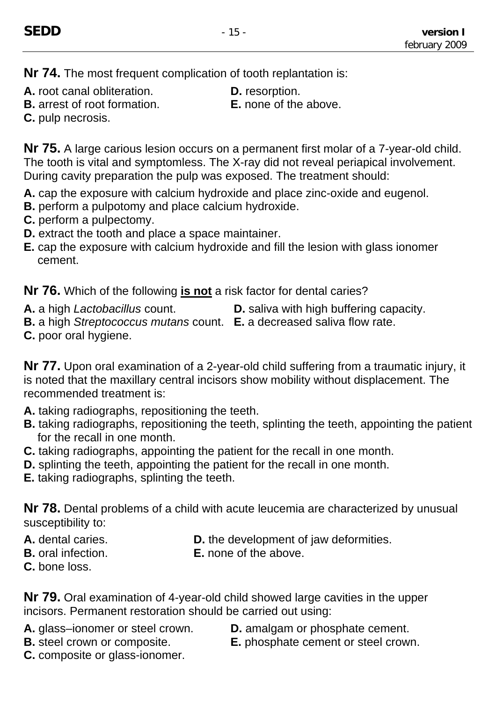**Nr 74.** The most frequent complication of tooth replantation is:

- **A.** root canal obliteration. **D.** resorption.
- **B.** arrest of root formation. **E.** none of the above.
- -

**C.** pulp necrosis.

**Nr 75.** A large carious lesion occurs on a permanent first molar of a 7-year-old child. The tooth is vital and symptomless. The X-ray did not reveal periapical involvement. During cavity preparation the pulp was exposed. The treatment should:

- **A.** cap the exposure with calcium hydroxide and place zinc-oxide and eugenol.
- **B.** perform a pulpotomy and place calcium hydroxide.
- **C.** perform a pulpectomy.
- **D.** extract the tooth and place a space maintainer.
- **E.** cap the exposure with calcium hydroxide and fill the lesion with glass ionomer cement.

**Nr 76.** Which of the following **is not** a risk factor for dental caries?

**A.** a high *Lactobacillus* count. **D.** saliva with high buffering capacity.

- **B.** a high *Streptococcus mutans* count. **E.** a decreased saliva flow rate.
- **C.** poor oral hygiene.

**Nr 77.** Upon oral examination of a 2-year-old child suffering from a traumatic injury, it is noted that the maxillary central incisors show mobility without displacement. The recommended treatment is:

- **A.** taking radiographs, repositioning the teeth.
- **B.** taking radiographs, repositioning the teeth, splinting the teeth, appointing the patient for the recall in one month.
- **C.** taking radiographs, appointing the patient for the recall in one month.
- **D.** splinting the teeth, appointing the patient for the recall in one month.
- **E.** taking radiographs, splinting the teeth.

**Nr 78.** Dental problems of a child with acute leucemia are characterized by unusual susceptibility to:

- 
- **A.** dental caries. **D.** the development of jaw deformities.
- **B.** oral infection. **E.** none of the above.
- **C.** bone loss.

**Nr 79.** Oral examination of 4-year-old child showed large cavities in the upper incisors. Permanent restoration should be carried out using:

- **A.** glass–ionomer or steel crown. **D.** amalgam or phosphate cement.
- 
- 
- **B.** steel crown or composite. **E.** phosphate cement or steel crown.
- **C.** composite or glass-ionomer.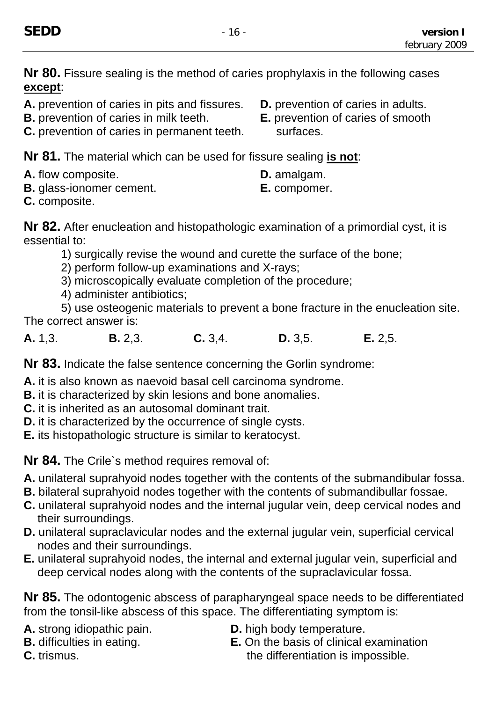**Nr 80.** Fissure sealing is the method of caries prophylaxis in the following cases **except**:

- **A.** prevention of caries in pits and fissures. **D.** prevention of caries in adults.
- **B.** prevention of caries in milk teeth. **E.** prevention of caries of smooth
- **C.** prevention of caries in permanent teeth. surfaces.

**Nr 81.** The material which can be used for fissure sealing **is not**:

- **A.** flow composite. **D.** amalgam.
- **B.** glass-ionomer cement. **E.** compomer.

**C.** composite.

**Nr 82.** After enucleation and histopathologic examination of a primordial cyst, it is essential to:

- 1) surgically revise the wound and curette the surface of the bone;
- 2) perform follow-up examinations and X-rays;
- 3) microscopically evaluate completion of the procedure;
- 4) administer antibiotics;

5) use osteogenic materials to prevent a bone fracture in the enucleation site. The correct answer is:

**A.** 1,3. **B.** 2,3. **C.** 3,4. **D.** 3,5. **E.** 2,5.

**Nr 83.** Indicate the false sentence concerning the Gorlin syndrome:

- **A.** it is also known as naevoid basal cell carcinoma syndrome.
- **B.** it is characterized by skin lesions and bone anomalies.
- **C.** it is inherited as an autosomal dominant trait.
- **D.** it is characterized by the occurrence of single cysts.
- **E.** its histopathologic structure is similar to keratocyst.

**Nr 84.** The Crile`s method requires removal of:

- **A.** unilateral suprahyoid nodes together with the contents of the submandibular fossa.
- **B.** bilateral suprahyoid nodes together with the contents of submandibullar fossae.
- **C.** unilateral suprahyoid nodes and the internal jugular vein, deep cervical nodes and their surroundings.
- **D.** unilateral supraclavicular nodes and the external jugular vein, superficial cervical nodes and their surroundings.
- **E.** unilateral suprahyoid nodes, the internal and external jugular vein, superficial and deep cervical nodes along with the contents of the supraclavicular fossa.

**Nr 85.** The odontogenic abscess of parapharyngeal space needs to be differentiated from the tonsil-like abscess of this space. The differentiating symptom is:

- 
- 
- **A.** strong idiopathic pain. **D.** high body temperature.
- **B.** difficulties in eating. **E.** On the basis of clinical examination **C.** trismus. The differentiation is impossible.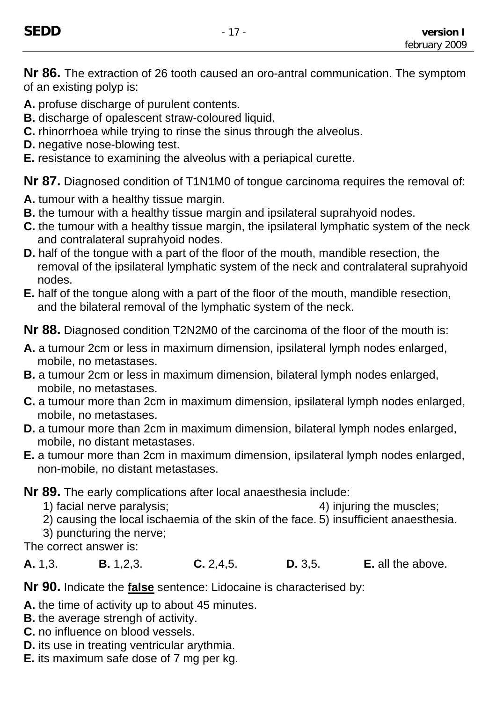**Nr 86.** The extraction of 26 tooth caused an oro-antral communication. The symptom of an existing polyp is:

**A.** profuse discharge of purulent contents.

- **B.** discharge of opalescent straw-coloured liquid.
- **C.** rhinorrhoea while trying to rinse the sinus through the alveolus.
- **D.** negative nose-blowing test.
- **E.** resistance to examining the alveolus with a periapical curette.

**Nr 87.** Diagnosed condition of T1N1M0 of tongue carcinoma requires the removal of:

- **A.** tumour with a healthy tissue margin.
- **B.** the tumour with a healthy tissue margin and ipsilateral suprahyoid nodes.
- **C.** the tumour with a healthy tissue margin, the ipsilateral lymphatic system of the neck and contralateral suprahyoid nodes.
- **D.** half of the tongue with a part of the floor of the mouth, mandible resection, the removal of the ipsilateral lymphatic system of the neck and contralateral suprahyoid nodes.
- **E.** half of the tongue along with a part of the floor of the mouth, mandible resection, and the bilateral removal of the lymphatic system of the neck.

**Nr 88.** Diagnosed condition T2N2M0 of the carcinoma of the floor of the mouth is:

- **A.** a tumour 2cm or less in maximum dimension, ipsilateral lymph nodes enlarged, mobile, no metastases.
- **B.** a tumour 2cm or less in maximum dimension, bilateral lymph nodes enlarged, mobile, no metastases.
- **C.** a tumour more than 2cm in maximum dimension, ipsilateral lymph nodes enlarged, mobile, no metastases.
- **D.** a tumour more than 2cm in maximum dimension, bilateral lymph nodes enlarged, mobile, no distant metastases.
- **E.** a tumour more than 2cm in maximum dimension, ipsilateral lymph nodes enlarged, non-mobile, no distant metastases.

**Nr 89.** The early complications after local anaesthesia include:

- 1) facial nerve paralysis;4) injuring the muscles;
- 2) causing the local ischaemia of the skin of the face. 5) insufficient anaesthesia.
- 3) puncturing the nerve;

The correct answer is:

**A.** 1,3. **B.** 1,2,3. **C.** 2,4,5. **D.** 3,5. **E.** all the above.

**Nr 90.** Indicate the **false** sentence: Lidocaine is characterised by:

**A.** the time of activity up to about 45 minutes.

- **B.** the average strengh of activity.
- **C.** no influence on blood vessels.
- **D.** its use in treating ventricular arythmia.
- **E.** its maximum safe dose of 7 mg per kg.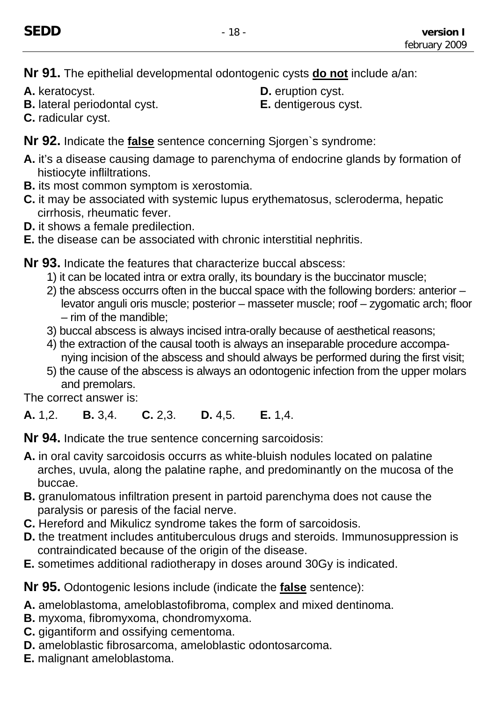**Nr 91.** The epithelial developmental odontogenic cysts **do not** include a/an:

- 
- **B.** lateral periodontal cyst. **E.** dentigerous cyst.
- **A.** keratocyst. **D.** eruption cyst.
	-

**C.** radicular cyst.

**Nr 92.** Indicate the **false** sentence concerning Sjorgen`s syndrome:

- **A.** it's a disease causing damage to parenchyma of endocrine glands by formation of histiocyte infliltrations.
- **B.** its most common symptom is xerostomia.
- **C.** it may be associated with systemic lupus erythematosus, scleroderma, hepatic cirrhosis, rheumatic fever.
- **D.** it shows a female predilection.
- **E.** the disease can be associated with chronic interstitial nephritis.
- **Nr 93.** Indicate the features that characterize buccal abscess:
	- 1) it can be located intra or extra orally, its boundary is the buccinator muscle;
	- 2) the abscess occurrs often in the buccal space with the following borders: anterior levator anguli oris muscle; posterior – masseter muscle; roof – zygomatic arch; floor – rim of the mandible;
	- 3) buccal abscess is always incised intra-orally because of aesthetical reasons;
	- 4) the extraction of the causal tooth is always an inseparable procedure accompanying incision of the abscess and should always be performed during the first visit;
	- 5) the cause of the abscess is always an odontogenic infection from the upper molars and premolars.

The correct answer is:

**A.** 1,2. **B.** 3,4. **C.** 2,3. **D.** 4,5. **E.** 1,4.

**Nr 94.** Indicate the true sentence concerning sarcoidosis:

- **A.** in oral cavity sarcoidosis occurrs as white-bluish nodules located on palatine arches, uvula, along the palatine raphe, and predominantly on the mucosa of the buccae.
- **B.** granulomatous infiltration present in partoid parenchyma does not cause the paralysis or paresis of the facial nerve.
- **C.** Hereford and Mikulicz syndrome takes the form of sarcoidosis.
- **D.** the treatment includes antituberculous drugs and steroids. Immunosuppression is contraindicated because of the origin of the disease.
- **E.** sometimes additional radiotherapy in doses around 30Gy is indicated.

**Nr 95.** Odontogenic lesions include (indicate the **false** sentence):

- **A.** ameloblastoma, ameloblastofibroma, complex and mixed dentinoma.
- **B.** myxoma, fibromyxoma, chondromyxoma.
- **C.** gigantiform and ossifying cementoma.
- **D.** ameloblastic fibrosarcoma, ameloblastic odontosarcoma.
- **E.** malignant ameloblastoma.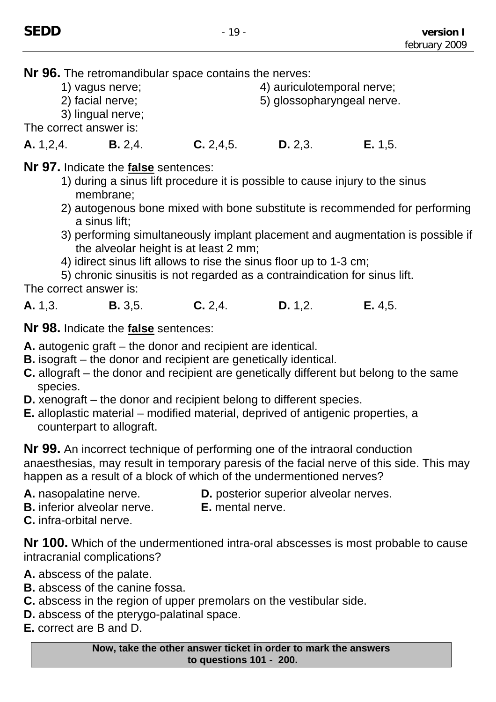**Nr 96.** The retromandibular space contains the nerves:

1) vagus nerve; 4) auriculotemporal nerve;

2) facial nerve; example and the state of the state of the state of the state of the state of the state of the state of the state of the state of the state of the state of the state of the state of the state of the state o

3) lingual nerve;

The correct answer is:

## **A.** 1,2,4. **B.** 2,4. **C.** 2,4,5. **D.** 2,3. **E.** 1,5.

## **Nr 97.** Indicate the **false** sentences:

- 1) during a sinus lift procedure it is possible to cause injury to the sinus membrane;
- 2) autogenous bone mixed with bone substitute is recommended for performing a sinus lift;
- 3) performing simultaneously implant placement and augmentation is possible if the alveolar height is at least 2 mm;
- 4) idirect sinus lift allows to rise the sinus floor up to 1-3 cm;

5) chronic sinusitis is not regarded as a contraindication for sinus lift.

The correct answer is:

**A.** 1,3. **B.** 3,5. **C.** 2,4. **D.** 1,2. **E.** 4,5.

**Nr 98.** Indicate the **false** sentences:

**A.** autogenic graft – the donor and recipient are identical.

- **B.** isograft the donor and recipient are genetically identical.
- **C.** allograft the donor and recipient are genetically different but belong to the same species.
- **D.** xenograft the donor and recipient belong to different species.
- **E.** alloplastic material modified material, deprived of antigenic properties, a counterpart to allograft.

**Nr 99.** An incorrect technique of performing one of the intraoral conduction anaesthesias, may result in temporary paresis of the facial nerve of this side. This may happen as a result of a block of which of the undermentioned nerves?

- **A.** nasopalatine nerve. **D.** posterior superior alveolar nerves.
- **B.** inferior alveolar nerve. **E.** mental nerve.
- **C.** infra-orbital nerve.

**Nr 100.** Which of the undermentioned intra-oral abscesses is most probable to cause intracranial complications?

- **A.** abscess of the palate.
- **B.** abscess of the canine fossa.
- **C.** abscess in the region of upper premolars on the vestibular side.
- **D.** abscess of the pterygo-palatinal space.
- **E.** correct are B and D.

**Now, take the other answer ticket in order to mark the answers to questions 101 - 200.**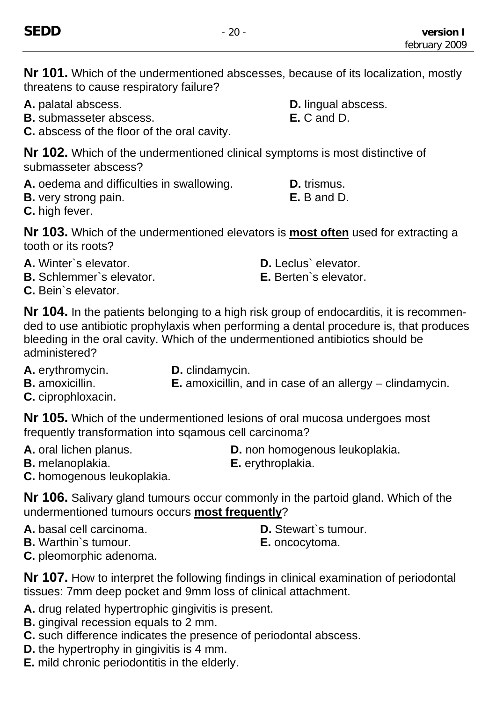**Nr 101.** Which of the undermentioned abscesses, because of its localization, mostly threatens to cause respiratory failure?

- **A.** palatal abscess. **D.** lingual abscess.
- **B.** submasseter abscess. **E. C** and D.
- **C.** abscess of the floor of the oral cavity.

**Nr 102.** Which of the undermentioned clinical symptoms is most distinctive of submasseter abscess?

- A. oedema and difficulties in swallowing. **D.** trismus.
- **B.** very strong pain. **E.** B and D.

**C.** high fever.

**Nr 103.** Which of the undermentioned elevators is **most often** used for extracting a tooth or its roots?

- **A.** Winter`s elevator. **D.** Leclus` elevator.
- **B.** Schlemmer`s elevator. **E.** Berten`s elevator.
- **C.** Bein`s elevator.

**Nr 104.** In the patients belonging to a high risk group of endocarditis, it is recommended to use antibiotic prophylaxis when performing a dental procedure is, that produces bleeding in the oral cavity. Which of the undermentioned antibiotics should be administered?

- **A.** erythromycin. **D.** clindamycin.
- 
- 
- **B.** amoxicillin. **E.** amoxicillin, and in case of an allergy clindamycin.
- **C.** ciprophloxacin.

**Nr 105.** Which of the undermentioned lesions of oral mucosa undergoes most frequently transformation into sqamous cell carcinoma?

- 
- **A.** oral lichen planus. **D.** non homogenous leukoplakia.
- **B.** melanoplakia. **E.** erythroplakia.
- 
- **C.** homogenous leukoplakia.

**Nr 106.** Salivary gland tumours occur commonly in the partoid gland. Which of the undermentioned tumours occurs **most frequently**?

- A. basal cell carcinoma. **D. Stewart**'s tumour.
- **B.** Warthin`s tumour. **E.** oncocytoma.
- 
- 

**C.** pleomorphic adenoma.

**Nr 107.** How to interpret the following findings in clinical examination of periodontal tissues: 7mm deep pocket and 9mm loss of clinical attachment.

**A.** drug related hypertrophic gingivitis is present.

- **B.** gingival recession equals to 2 mm.
- **C.** such difference indicates the presence of periodontal abscess.
- **D.** the hypertrophy in gingivitis is 4 mm.
- **E.** mild chronic periodontitis in the elderly.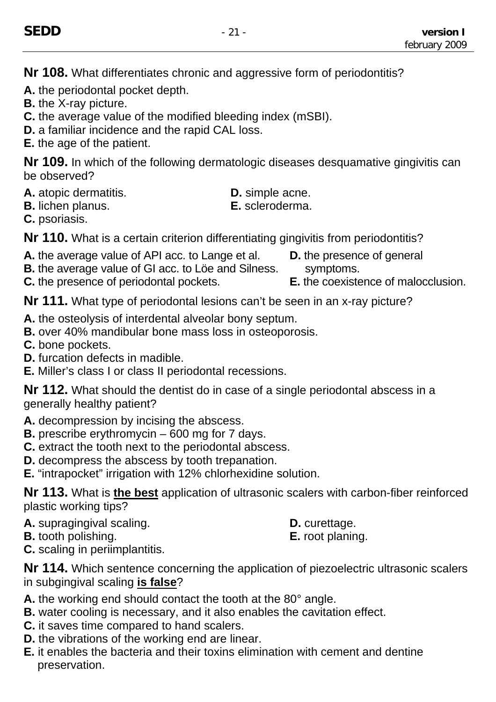**Nr 108.** What differentiates chronic and aggressive form of periodontitis?

**A.** the periodontal pocket depth.

- **B.** the X-ray picture.
- **C.** the average value of the modified bleeding index (mSBI).
- **D.** a familiar incidence and the rapid CAL loss.
- **E.** the age of the patient.

**Nr 109.** In which of the following dermatologic diseases desquamative gingivitis can be observed?

- **A.** atopic dermatitis. **D.** simple acne.
	-
- **B.** lichen planus. **E.** scleroderma.

**C.** psoriasis.

**Nr 110.** What is a certain criterion differentiating gingivitis from periodontitis?

- **A.** the average value of API acc. to Lange et al. **D.** the presence of general
- **B.** the average value of GI acc. to Löe and Silness. **Symptoms.**
- 

**Nr 111.** What type of periodontal lesions can't be seen in an x-ray picture?

- **A.** the osteolysis of interdental alveolar bony septum.
- **B.** over 40% mandibular bone mass loss in osteoporosis.
- **C.** bone pockets.
- **D.** furcation defects in madible.

**E.** Miller's class I or class II periodontal recessions.

**Nr 112.** What should the dentist do in case of a single periodontal abscess in a generally healthy patient?

- **A.** decompression by incising the abscess.
- **B.** prescribe erythromycin 600 mg for 7 days.
- **C.** extract the tooth next to the periodontal abscess.
- **D.** decompress the abscess by tooth trepanation.
- **E.** "intrapocket" irrigation with 12% chlorhexidine solution.

**Nr 113.** What is **the best** application of ultrasonic scalers with carbon-fiber reinforced plastic working tips?

- **A.** supragingival scaling. **D.** curettage.
- **B.** tooth polishing. **E.** root planing.
- -

**C.** scaling in periimplantitis.

**Nr 114.** Which sentence concerning the application of piezoelectric ultrasonic scalers in subgingival scaling **is false**?

- **A.** the working end should contact the tooth at the 80° angle.
- **B.** water cooling is necessary, and it also enables the cavitation effect.
- **C.** it saves time compared to hand scalers.
- **D.** the vibrations of the working end are linear.
- **E.** it enables the bacteria and their toxins elimination with cement and dentine preservation.
- 
- 
- **C.** the presence of periodontal pockets. **E.** the coexistence of malocclusion.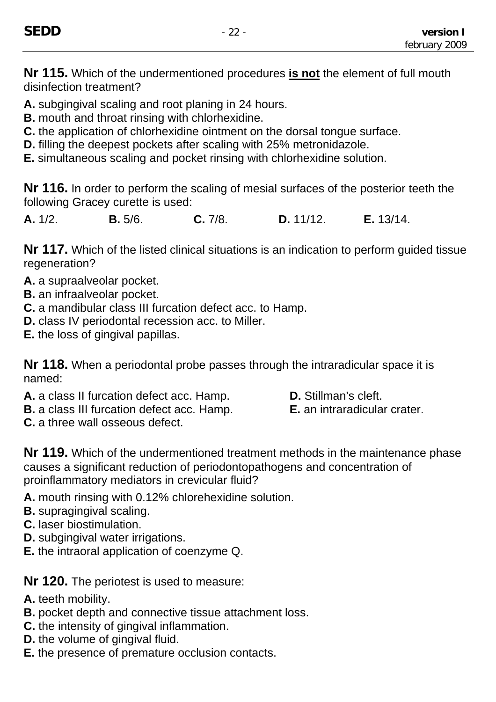**Nr 115.** Which of the undermentioned procedures **is not** the element of full mouth disinfection treatment?

**A.** subgingival scaling and root planing in 24 hours.

**B.** mouth and throat rinsing with chlorhexidine.

**C.** the application of chlorhexidine ointment on the dorsal tongue surface.

**D.** filling the deepest pockets after scaling with 25% metronidazole.

**E.** simultaneous scaling and pocket rinsing with chlorhexidine solution.

**Nr 116.** In order to perform the scaling of mesial surfaces of the posterior teeth the following Gracey curette is used:

**A.** 1/2. **B.** 5/6. **C.** 7/8. **D.** 11/12. **E.** 13/14.

**Nr 117.** Which of the listed clinical situations is an indication to perform guided tissue regeneration?

- **A.** a supraalveolar pocket.
- **B.** an infraalveolar pocket.
- **C.** a mandibular class III furcation defect acc. to Hamp.
- **D.** class IV periodontal recession acc. to Miller.
- **E.** the loss of gingival papillas.

**Nr 118.** When a periodontal probe passes through the intraradicular space it is named:

**A.** a class II furcation defect acc. Hamp. **D.** Stillman's cleft.

**B.** a class III furcation defect acc. Hamp. **E.** an intraradicular crater.

**C.** a three wall osseous defect.

**Nr 119.** Which of the undermentioned treatment methods in the maintenance phase causes a significant reduction of periodontopathogens and concentration of proinflammatory mediators in crevicular fluid?

- **A.** mouth rinsing with 0.12% chlorehexidine solution.
- **B.** supragingival scaling.
- **C.** laser biostimulation.
- **D.** subgingival water irrigations.
- **E.** the intraoral application of coenzyme Q.

**Nr 120.** The periotest is used to measure:

- **A.** teeth mobility.
- **B.** pocket depth and connective tissue attachment loss.
- **C.** the intensity of gingival inflammation.
- **D.** the volume of gingival fluid.
- **E.** the presence of premature occlusion contacts.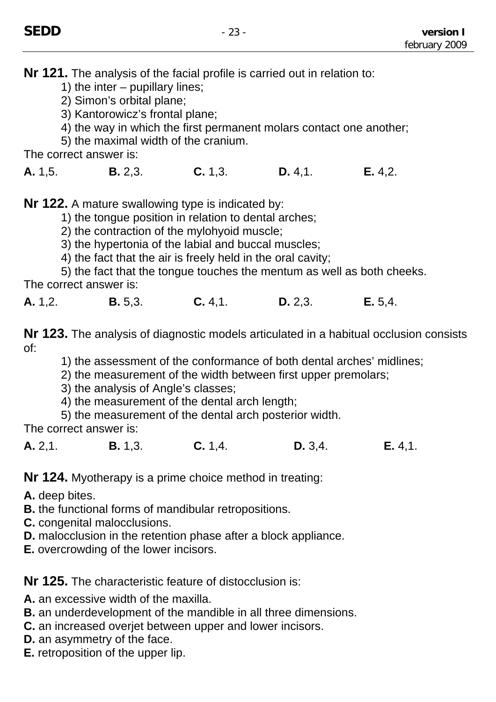**Nr 121.** The analysis of the facial profile is carried out in relation to:

1) the inter – pupillary lines;

2) Simon's orbital plane;

3) Kantorowicz's frontal plane;

4) the way in which the first permanent molars contact one another;

5) the maximal width of the cranium.

The correct answer is:

**A.** 1,5. **B.** 2,3. **C.** 1,3. **D.** 4,1. **E.** 4,2.

**Nr 122.** A mature swallowing type is indicated by:

1) the tongue position in relation to dental arches;

2) the contraction of the mylohyoid muscle;

3) the hypertonia of the labial and buccal muscles;

4) the fact that the air is freely held in the oral cavity;

5) the fact that the tongue touches the mentum as well as both cheeks. The correct answer is:

**A.** 1,2. **B.** 5,3. **C.** 4,1. **D.** 2,3. **E.** 5,4.

**Nr 123.** The analysis of diagnostic models articulated in a habitual occlusion consists of:

1) the assessment of the conformance of both dental arches' midlines;

2) the measurement of the width between first upper premolars;

3) the analysis of Angle's classes;

4) the measurement of the dental arch length;

5) the measurement of the dental arch posterior width.

The correct answer is:

**A.** 2,1. **B.** 1,3. **C.** 1,4. **D.** 3,4. **E.** 4,1.

**Nr 124.** Myotherapy is a prime choice method in treating:

**A.** deep bites.

**B.** the functional forms of mandibular retropositions.

**C.** congenital malocclusions.

**D.** malocclusion in the retention phase after a block appliance.

**E.** overcrowding of the lower incisors.

**Nr 125.** The characteristic feature of distocclusion is:

**A.** an excessive width of the maxilla.

**B.** an underdevelopment of the mandible in all three dimensions.

**C.** an increased overjet between upper and lower incisors.

- **D.** an asymmetry of the face.
- **E.** retroposition of the upper lip.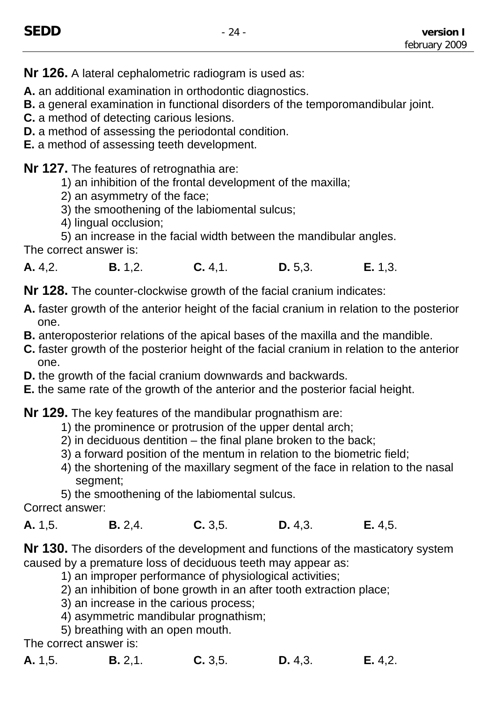**Nr 126.** A lateral cephalometric radiogram is used as:

**A.** an additional examination in orthodontic diagnostics.

**B.** a general examination in functional disorders of the temporomandibular joint.

- **C.** a method of detecting carious lesions.
- **D.** a method of assessing the periodontal condition.
- **E.** a method of assessing teeth development.

**Nr 127.** The features of retrognathia are:

- 1) an inhibition of the frontal development of the maxilla;
- 2) an asymmetry of the face;
- 3) the smoothening of the labiomental sulcus;
- 4) lingual occlusion;

5) an increase in the facial width between the mandibular angles. The correct answer is:

**A.** 4,2. **B.** 1,2. **C.** 4,1. **D.** 5,3. **E.** 1,3.

**Nr 128.** The counter-clockwise growth of the facial cranium indicates:

- **A.** faster growth of the anterior height of the facial cranium in relation to the posterior one.
- **B.** anteroposterior relations of the apical bases of the maxilla and the mandible.
- **C.** faster growth of the posterior height of the facial cranium in relation to the anterior one.
- **D.** the growth of the facial cranium downwards and backwards.
- **E.** the same rate of the growth of the anterior and the posterior facial height.

**Nr 129.** The key features of the mandibular prognathism are:

- 1) the prominence or protrusion of the upper dental arch;
- 2) in deciduous dentition the final plane broken to the back;
- 3) a forward position of the mentum in relation to the biometric field;
- 4) the shortening of the maxillary segment of the face in relation to the nasal segment;
- 5) the smoothening of the labiomental sulcus.

Correct answer:

**A.** 1,5. **B.** 2,4. **C.** 3,5. **D.** 4,3. **E.** 4,5.

**Nr 130.** The disorders of the development and functions of the masticatory system caused by a premature loss of deciduous teeth may appear as:

- 1) an improper performance of physiological activities;
- 2) an inhibition of bone growth in an after tooth extraction place;
- 3) an increase in the carious process;
- 4) asymmetric mandibular prognathism;
- 5) breathing with an open mouth.

The correct answer is:

| A. 1,5. | B. 2, 1. | C. 3, 5. | D. 4, 3. | E. 4,2. |
|---------|----------|----------|----------|---------|
|         |          |          |          |         |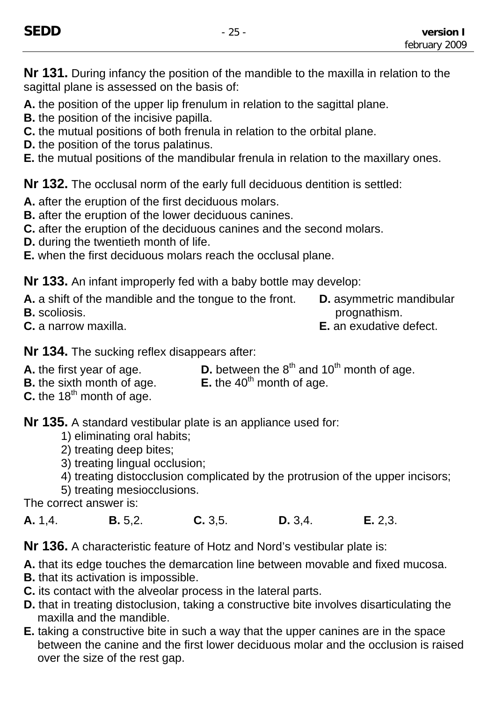**Nr 131.** During infancy the position of the mandible to the maxilla in relation to the sagittal plane is assessed on the basis of:

**A.** the position of the upper lip frenulum in relation to the sagittal plane.

**B.** the position of the incisive papilla.

- **C.** the mutual positions of both frenula in relation to the orbital plane.
- **D.** the position of the torus palatinus.
- **E.** the mutual positions of the mandibular frenula in relation to the maxillary ones.

**Nr 132.** The occlusal norm of the early full deciduous dentition is settled:

- **A.** after the eruption of the first deciduous molars.
- **B.** after the eruption of the lower deciduous canines.
- **C.** after the eruption of the deciduous canines and the second molars.
- **D.** during the twentieth month of life.
- **E.** when the first deciduous molars reach the occlusal plane.

**Nr 133.** An infant improperly fed with a baby bottle may develop:

**A.** a shift of the mandible and the tongue to the front. **D.** asymmetric mandibular **B.** scoliosis. **prognathism. B. b. prognathism.** 

**C.** a narrow maxilla. **E.** an exudative defect.

**Nr 134.** The sucking reflex disappears after:

- **A.** the first year of age.<br>**D.** between the  $8^{th}$  and  $10^{th}$  month of age.<br>**B.** the sixth month of age.<br>**E.** the  $40^{th}$  month of age.
- **B.** the sixth month of age.
- **C.** the 18<sup>th</sup> month of age.

**Nr 135.** A standard vestibular plate is an appliance used for:

- 1) eliminating oral habits;
- 2) treating deep bites;
- 3) treating lingual occlusion;
- 4) treating distocclusion complicated by the protrusion of the upper incisors;
- 5) treating mesiocclusions.

The correct answer is:

**A.** 1,4. **B.** 5,2. **C.** 3,5. **D.** 3,4. **E.** 2,3.

**Nr 136.** A characteristic feature of Hotz and Nord's vestibular plate is:

- **A.** that its edge touches the demarcation line between movable and fixed mucosa.
- **B.** that its activation is impossible.
- **C.** its contact with the alveolar process in the lateral parts.
- **D.** that in treating distoclusion, taking a constructive bite involves disarticulating the maxilla and the mandible.
- **E.** taking a constructive bite in such a way that the upper canines are in the space between the canine and the first lower deciduous molar and the occlusion is raised over the size of the rest gap.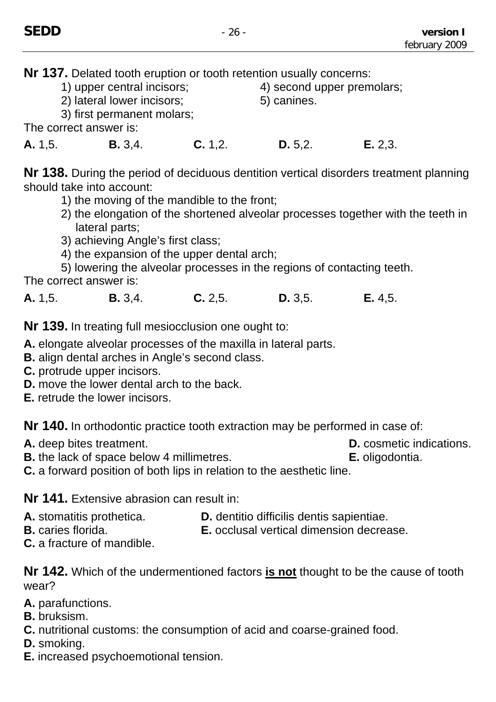**Nr 137.** Delated tooth eruption or tooth retention usually concerns:

- 1) upper central incisors; 4) second upper premolars;
- 2) lateral lower incisors; 6) canines.

3) first permanent molars;

The correct answer is:

**A.** 1,5. **B.** 3,4. **C.** 1,2. **D.** 5,2. **E.** 2,3.

**Nr 138.** During the period of deciduous dentition vertical disorders treatment planning should take into account:

- 1) the moving of the mandible to the front;
- 2) the elongation of the shortened alveolar processes together with the teeth in lateral parts;
- 3) achieving Angle's first class;
- 4) the expansion of the upper dental arch;

5) lowering the alveolar processes in the regions of contacting teeth. The correct answer is:

**A.** 1,5. **B.** 3,4. **C.** 2,5. **D.** 3,5. **E.** 4,5.

**Nr 139.** In treating full mesiocclusion one ought to:

**A.** elongate alveolar processes of the maxilla in lateral parts.

- **B.** align dental arches in Angle's second class.
- **C.** protrude upper incisors.
- **D.** move the lower dental arch to the back.
- **E.** retrude the lower incisors.

**Nr 140.** In orthodontic practice tooth extraction may be performed in case of:

**A.** deep bites treatment. **D. D.** cosmetic indications.

**B.** the lack of space below 4 millimetres. **E.** oligodontia.

**C.** a forward position of both lips in relation to the aesthetic line.

**Nr 141.** Extensive abrasion can result in:

- **A.** stomatitis prothetica. **D.** dentitio difficilis dentis sapientiae.<br>**B.** caries florida. **E.** occlusal vertical dimension decrea
- 
- **E.** occlusal vertical dimension decrease.
- **C.** a fracture of mandible.

**Nr 142.** Which of the undermentioned factors **is not** thought to be the cause of tooth wear?

- **A.** parafunctions.
- **B.** bruksism.
- **C.** nutritional customs: the consumption of acid and coarse-grained food.
- **D.** smoking.
- **E.** increased psychoemotional tension.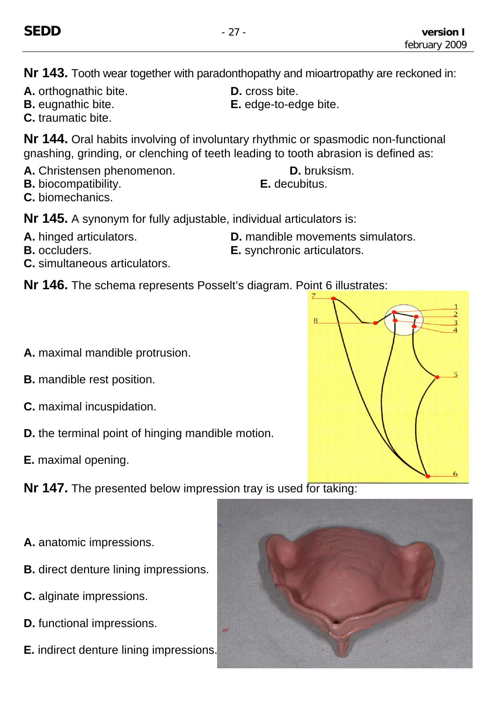**Nr 143.** Tooth wear together with paradonthopathy and mioartropathy are reckoned in:

- **A.** orthognathic bite. **D.** cross bite.
- **B.** eugnathic bite. **E.** edge-to-edge bite.
- **C.** traumatic bite.

**Nr 144.** Oral habits involving of involuntary rhythmic or spasmodic non-functional gnashing, grinding, or clenching of teeth leading to tooth abrasion is defined as:

- **A.** Christensen phenomenon. **D.** bruksism.
- **B.** biocompatibility. **E.** decubitus.
- **C.** biomechanics.

**Nr 145.** A synonym for fully adjustable, individual articulators is:

- A. hinged articulators. **D.** mandible movements simulators.
- **B.** occluders. **E.** synchronic articulators.
- **C.** simultaneous articulators.
- **Nr 146.** The schema represents Posselt's diagram. Point 6 illustrates:
- **A.** maximal mandible protrusion.
- **B.** mandible rest position.
- **C.** maximal incuspidation.
- **D.** the terminal point of hinging mandible motion.
- **E.** maximal opening.
- **Nr 147.** The presented below impression tray is used for taking:
- **A.** anatomic impressions.
- **B.** direct denture lining impressions.
- **C.** alginate impressions.
- **D.** functional impressions.
- **E.** indirect denture lining impressions.

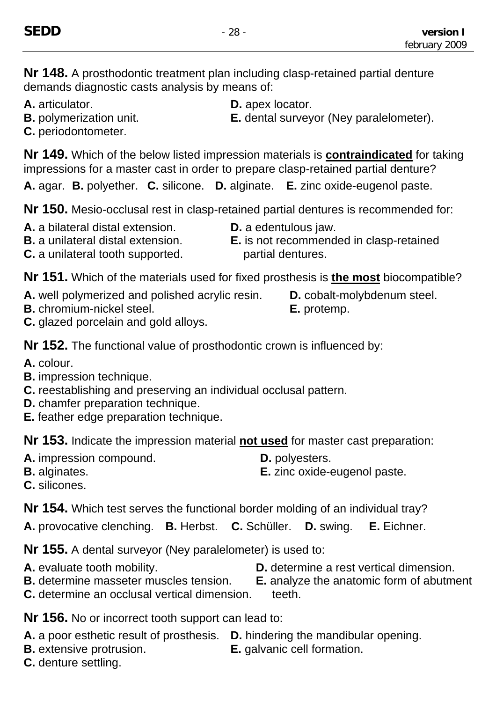**Nr 148.** A prosthodontic treatment plan including clasp-retained partial denture demands diagnostic casts analysis by means of:

- **A.** articulator. **D.** apex locator.
- 
- 
- **B.** polymerization unit. **E.** dental surveyor (Ney paralelometer).
- **C.** periodontometer.

**Nr 149.** Which of the below listed impression materials is **contraindicated** for taking impressions for a master cast in order to prepare clasp-retained partial denture?

**A.** agar. **B.** polyether. **C.** silicone. **D.** alginate. **E.** zinc oxide-eugenol paste.

**Nr 150.** Mesio-occlusal rest in clasp-retained partial dentures is recommended for:

- **A.** a bilateral distal extension. **D.** a edentulous jaw.
- 
- 
- **B.** a unilateral distal extension. **E.** is not recommended in clasp-retained **C.** a unilateral tooth supported. example on partial dentures.

**Nr 151.** Which of the materials used for fixed prosthesis is **the most** biocompatible?

- **A.** well polymerized and polished acrylic resin. **D.** cobalt-molybdenum steel.
- **B.** chromium-nickel steel. **E.** protemp.
- -

**C.** glazed porcelain and gold alloys.

**Nr 152.** The functional value of prosthodontic crown is influenced by:

- **A.** colour.
- **B.** impression technique.
- **C.** reestablishing and preserving an individual occlusal pattern.
- **D.** chamfer preparation technique.
- **E.** feather edge preparation technique.

**Nr 153.** Indicate the impression material **not used** for master cast preparation:

- A. impression compound. **D.** polyesters.
	-
- 
- **B.** alginates. **E.** zinc oxide-eugenol paste.
- **C.** silicones.

**Nr 154.** Which test serves the functional border molding of an individual tray?

**A.** provocative clenching. **B.** Herbst. **C.** Schüller. **D.** swing. **E.** Eichner.

**Nr 155.** A dental surveyor (Ney paralelometer) is used to:

- **A.** evaluate tooth mobility. **D.** determine a rest vertical dimension.
- **B.** determine masseter muscles tension. **E.** analyze the anatomic form of abutment
- **C.** determine an occlusal vertical dimension. teeth.

**Nr 156.** No or incorrect tooth support can lead to:

- **A.** a poor esthetic result of prosthesis. **D.** hindering the mandibular opening.
- **B.** extensive protrusion. **E.** galvanic cell formation.
- **C.** denture settling.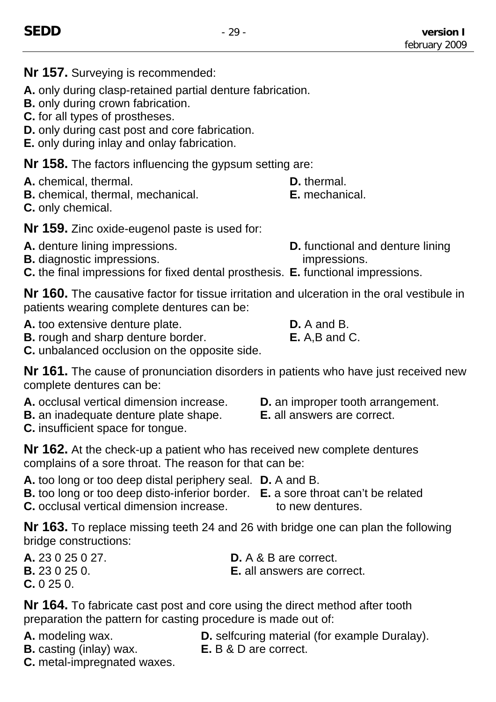**Nr 157.** Surveying is recommended:

**A.** only during clasp-retained partial denture fabrication.

**B.** only during crown fabrication.

**C.** for all types of prostheses.

**D.** only during cast post and core fabrication.

**E.** only during inlay and onlay fabrication.

**Nr 158.** The factors influencing the gypsum setting are:

**A.** chemical, thermal. **D.** thermal.

**B.** chemical, thermal, mechanical. **E.** mechanical.

**C.** only chemical.

**Nr 159.** Zinc oxide-eugenol paste is used for:

- **A.** denture lining impressions. **D.** functional and denture lining
- **B.** diagnostic impressions. **impressions.**
- **C.** the final impressions for fixed dental prosthesis. **E.** functional impressions.

**Nr 160.** The causative factor for tissue irritation and ulceration in the oral vestibule in patients wearing complete dentures can be:

**A.** too extensive denture plate. **D.** A and B.

**B.** rough and sharp denture border. **E.** A,B and C.

**C.** unbalanced occlusion on the opposite side.

**Nr 161.** The cause of pronunciation disorders in patients who have just received new complete dentures can be:

- **A.** occlusal vertical dimension increase. **D.** an improper tooth arrangement.
- **B.** an inadequate denture plate shape. **E.** all answers are correct.
- **C.** insufficient space for tongue.

**Nr 162.** At the check-up a patient who has received new complete dentures complains of a sore throat. The reason for that can be:

**A.** too long or too deep distal periphery seal. **D.** A and B.

- **B.** too long or too deep disto-inferior border. **E.** a sore throat can't be related
- **C.** occlusal vertical dimension increase to new dentures.
- 

**Nr 163.** To replace missing teeth 24 and 26 with bridge one can plan the following bridge constructions:

**C.** 0 25 0.

**A.** 23 0 25 0 27. **D.** A & B are correct. **B.** 23 0 25 0. **E.** all answers are correct.

**Nr 164.** To fabricate cast post and core using the direct method after tooth preparation the pattern for casting procedure is made out of:

- 
- **B.** casting (inlay) wax. **E.** B & D are correct.

**A.** modeling wax. **D.** selfcuring material (for example Duralay).

**C.** metal-impregnated waxes.

- 
- 
-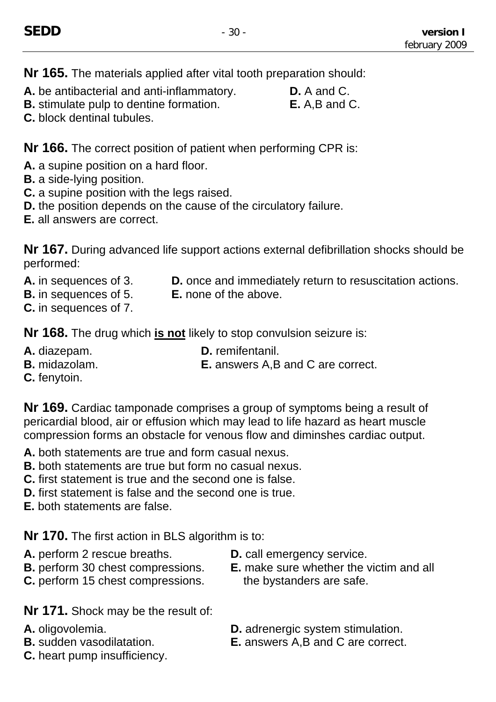**Nr 165.** The materials applied after vital tooth preparation should:

- **A.** be antibacterial and anti-inflammatory. **D.** A and C.
- **B.** stimulate pulp to dentine formation. **E.** A,B and C.
- **C.** block dentinal tubules.

**Nr 166.** The correct position of patient when performing CPR is:

**A.** a supine position on a hard floor.

- **B.** a side-lying position.
- **C.** a supine position with the legs raised.
- **D.** the position depends on the cause of the circulatory failure.
- **E.** all answers are correct.

**Nr 167.** During advanced life support actions external defibrillation shocks should be performed:

- 
- **A.** in sequences of 3. **D.** once and immediately return to resuscitation actions.
- **B.** in sequences of 5. **E.** none of the above.
- **C.** in sequences of 7.

**Nr 168.** The drug which **is not** likely to stop convulsion seizure is:

- 
- 
- **A.** diazepam. **D.** remifentanil.
- **B.** midazolam. **E.** answers A,B and C are correct.
- **C.** fenytoin.

**Nr 169.** Cardiac tamponade comprises a group of symptoms being a result of pericardial blood, air or effusion which may lead to life hazard as heart muscle compression forms an obstacle for venous flow and diminshes cardiac output.

- **A.** both statements are true and form casual nexus.
- **B.** both statements are true but form no casual nexus.
- **C.** first statement is true and the second one is false.
- **D.** first statement is false and the second one is true.
- **E.** both statements are false.

**Nr 170.** The first action in BLS algorithm is to:

- **A.** perform 2 rescue breaths. **D.** call emergency service.
- 
- **C.** perform 15 chest compressions. the bystanders are safe.
- 
- **B.** perform 30 chest compressions. **E.** make sure whether the victim and all

**Nr 171.** Shock may be the result of:

- 
- 
- **C.** heart pump insufficiency.
- **A.** oligovolemia. **D.** adrenergic system stimulation.
- **B.** sudden vasodilatation. **E.** answers A,B and C are correct.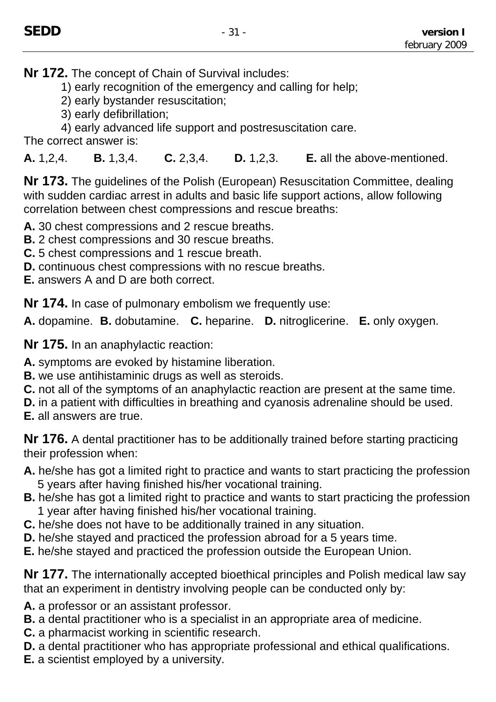**Nr 172.** The concept of Chain of Survival includes:

- 1) early recognition of the emergency and calling for help;
- 2) early bystander resuscitation;
- 3) early defibrillation;
- 4) early advanced life support and postresuscitation care.

The correct answer is:

**A.** 1,2,4. **B.** 1,3,4. **C.** 2,3,4. **D.** 1,2,3. **E.** all the above-mentioned.

**Nr 173.** The guidelines of the Polish (European) Resuscitation Committee, dealing with sudden cardiac arrest in adults and basic life support actions, allow following correlation between chest compressions and rescue breaths:

- **A.** 30 chest compressions and 2 rescue breaths.
- **B.** 2 chest compressions and 30 rescue breaths.
- **C.** 5 chest compressions and 1 rescue breath.
- **D.** continuous chest compressions with no rescue breaths.
- **E.** answers A and D are both correct.

**Nr 174.** In case of pulmonary embolism we frequently use:

**A.** dopamine. **B.** dobutamine. **C.** heparine. **D.** nitroglicerine. **E.** only oxygen.

**Nr 175.** In an anaphylactic reaction:

**A.** symptoms are evoked by histamine liberation.

- **B.** we use antihistaminic drugs as well as steroids.
- **C.** not all of the symptoms of an anaphylactic reaction are present at the same time.
- **D.** in a patient with difficulties in breathing and cyanosis adrenaline should be used.
- **E.** all answers are true.

**Nr 176.** A dental practitioner has to be additionally trained before starting practicing their profession when:

- **A.** he/she has got a limited right to practice and wants to start practicing the profession 5 years after having finished his/her vocational training.
- **B.** he/she has got a limited right to practice and wants to start practicing the profession 1 year after having finished his/her vocational training.
- **C.** he/she does not have to be additionally trained in any situation.
- **D.** he/she stayed and practiced the profession abroad for a 5 years time.
- **E.** he/she stayed and practiced the profession outside the European Union.

**Nr 177.** The internationally accepted bioethical principles and Polish medical law say that an experiment in dentistry involving people can be conducted only by:

- **A.** a professor or an assistant professor.
- **B.** a dental practitioner who is a specialist in an appropriate area of medicine.
- **C.** a pharmacist working in scientific research.
- **D.** a dental practitioner who has appropriate professional and ethical qualifications.
- **E.** a scientist employed by a university.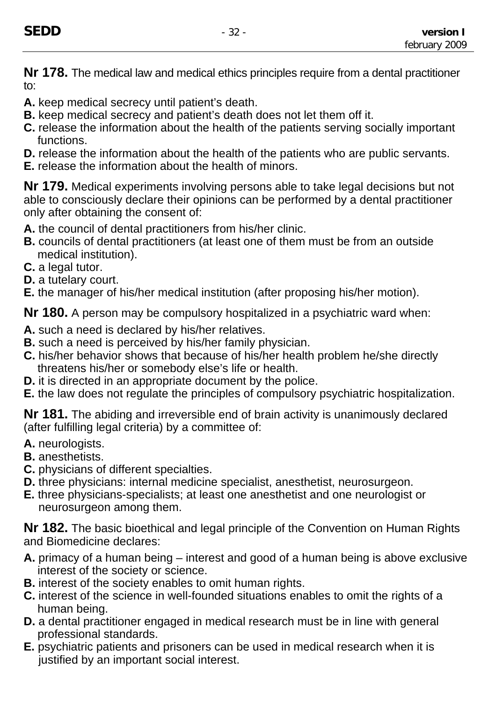**Nr 178.** The medical law and medical ethics principles require from a dental practitioner to:

- **A.** keep medical secrecy until patient's death.
- **B.** keep medical secrecy and patient's death does not let them off it.
- **C.** release the information about the health of the patients serving socially important functions.
- **D.** release the information about the health of the patients who are public servants.
- **E.** release the information about the health of minors.

**Nr 179.** Medical experiments involving persons able to take legal decisions but not able to consciously declare their opinions can be performed by a dental practitioner only after obtaining the consent of:

**A.** the council of dental practitioners from his/her clinic.

- **B.** councils of dental practitioners (at least one of them must be from an outside medical institution).
- **C.** a legal tutor.
- **D.** a tutelary court.
- **E.** the manager of his/her medical institution (after proposing his/her motion).

**Nr 180.** A person may be compulsory hospitalized in a psychiatric ward when:

- **A.** such a need is declared by his/her relatives.
- **B.** such a need is perceived by his/her family physician.
- **C.** his/her behavior shows that because of his/her health problem he/she directly threatens his/her or somebody else's life or health.
- **D.** it is directed in an appropriate document by the police.
- **E.** the law does not regulate the principles of compulsory psychiatric hospitalization.

**Nr 181.** The abiding and irreversible end of brain activity is unanimously declared (after fulfilling legal criteria) by a committee of:

- **A.** neurologists.
- **B.** anesthetists.
- **C.** physicians of different specialties.
- **D.** three physicians: internal medicine specialist, anesthetist, neurosurgeon.
- **E.** three physicians-specialists; at least one anesthetist and one neurologist or neurosurgeon among them.

**Nr 182.** The basic bioethical and legal principle of the Convention on Human Rights and Biomedicine declares:

- **A.** primacy of a human being interest and good of a human being is above exclusive interest of the society or science.
- **B.** interest of the society enables to omit human rights.
- **C.** interest of the science in well-founded situations enables to omit the rights of a human being.
- **D.** a dental practitioner engaged in medical research must be in line with general professional standards.
- **E.** psychiatric patients and prisoners can be used in medical research when it is justified by an important social interest.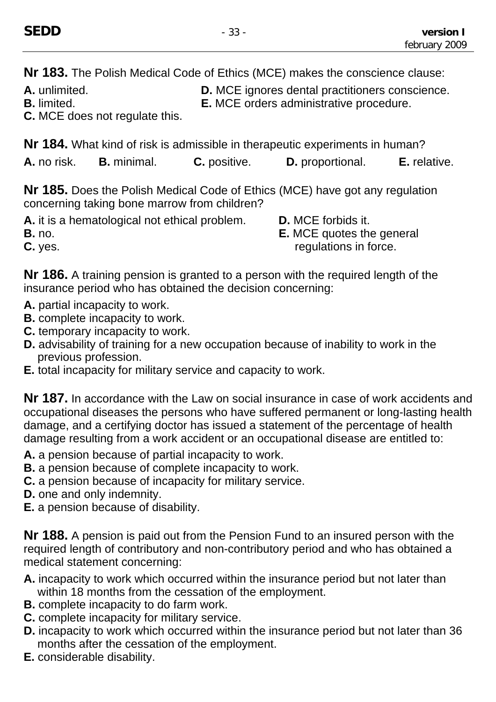**Nr 183.** The Polish Medical Code of Ethics (MCE) makes the conscience clause:

A. unlimited. **D. MCE** ignores dental practitioners conscience.

**B.** limited. **E.** MCE orders administrative procedure.

**C.** MCE does not regulate this.

**Nr 184.** What kind of risk is admissible in therapeutic experiments in human? **A.** no risk. **B.** minimal. **C.** positive. **D.** proportional. **E.** relative.

**Nr 185.** Does the Polish Medical Code of Ethics (MCE) have got any regulation concerning taking bone marrow from children?

**A.** it is a hematological not ethical problem. **D.** MCE forbids it.

**B.** no. **E.** MCE quotes the general **C.** yes. **C.** yes.

**Nr 186.** A training pension is granted to a person with the required length of the insurance period who has obtained the decision concerning:

- **A.** partial incapacity to work.
- **B.** complete incapacity to work.
- **C.** temporary incapacity to work.
- **D.** advisability of training for a new occupation because of inability to work in the previous profession.
- **E.** total incapacity for military service and capacity to work.

**Nr 187.** In accordance with the Law on social insurance in case of work accidents and occupational diseases the persons who have suffered permanent or long-lasting health damage, and a certifying doctor has issued a statement of the percentage of health damage resulting from a work accident or an occupational disease are entitled to:

- **A.** a pension because of partial incapacity to work.
- **B.** a pension because of complete incapacity to work.
- **C.** a pension because of incapacity for military service.
- **D.** one and only indemnity.
- **E.** a pension because of disability.

**Nr 188.** A pension is paid out from the Pension Fund to an insured person with the required length of contributory and non-contributory period and who has obtained a medical statement concerning:

- **A.** incapacity to work which occurred within the insurance period but not later than within 18 months from the cessation of the employment.
- **B.** complete incapacity to do farm work.
- **C.** complete incapacity for military service.
- **D.** incapacity to work which occurred within the insurance period but not later than 36 months after the cessation of the employment.
- **E.** considerable disability.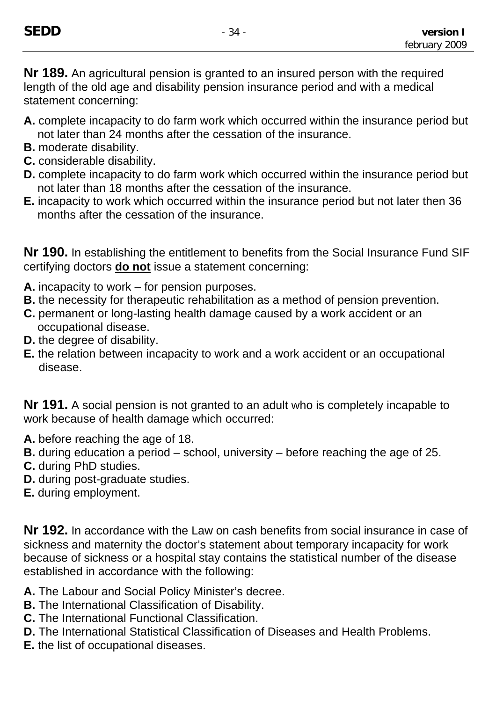**Nr 189.** An agricultural pension is granted to an insured person with the required length of the old age and disability pension insurance period and with a medical statement concerning:

- **A.** complete incapacity to do farm work which occurred within the insurance period but not later than 24 months after the cessation of the insurance.
- **B.** moderate disability.
- **C.** considerable disability.
- **D.** complete incapacity to do farm work which occurred within the insurance period but not later than 18 months after the cessation of the insurance.
- **E.** incapacity to work which occurred within the insurance period but not later then 36 months after the cessation of the insurance.

**Nr 190.** In establishing the entitlement to benefits from the Social Insurance Fund SIF certifying doctors **do not** issue a statement concerning:

- **A.** incapacity to work for pension purposes.
- **B.** the necessity for therapeutic rehabilitation as a method of pension prevention.
- **C.** permanent or long-lasting health damage caused by a work accident or an occupational disease.
- **D.** the degree of disability.
- **E.** the relation between incapacity to work and a work accident or an occupational disease.

**Nr 191.** A social pension is not granted to an adult who is completely incapable to work because of health damage which occurred:

- **A.** before reaching the age of 18.
- **B.** during education a period school, university before reaching the age of 25.
- **C.** during PhD studies.
- **D.** during post-graduate studies.
- **E.** during employment.

**Nr 192.** In accordance with the Law on cash benefits from social insurance in case of sickness and maternity the doctor's statement about temporary incapacity for work because of sickness or a hospital stay contains the statistical number of the disease established in accordance with the following:

- **A.** The Labour and Social Policy Minister's decree.
- **B.** The International Classification of Disability.
- **C.** The International Functional Classification.
- **D.** The International Statistical Classification of Diseases and Health Problems.
- **E.** the list of occupational diseases.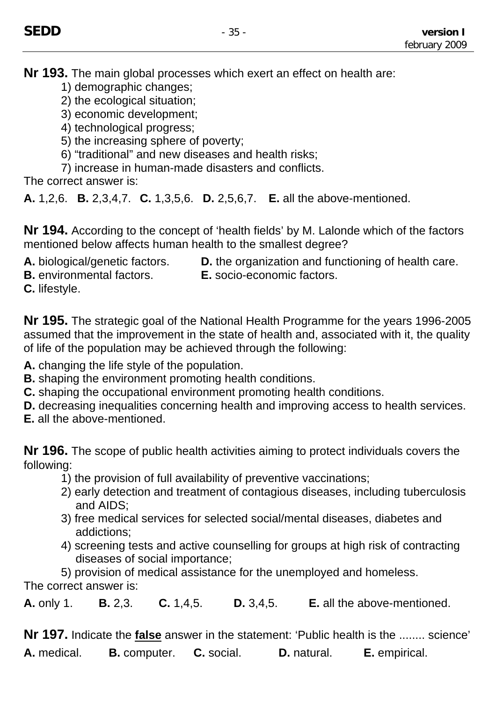**Nr 193.** The main global processes which exert an effect on health are:

- 1) demographic changes;
- 2) the ecological situation;
- 3) economic development;
- 4) technological progress;
- 5) the increasing sphere of poverty;
- 6) "traditional" and new diseases and health risks;
- 7) increase in human-made disasters and conflicts.

The correct answer is:

**A.** 1,2,6. **B.** 2,3,4,7. **C.** 1,3,5,6. **D.** 2,5,6,7. **E.** all the above-mentioned.

**Nr 194.** According to the concept of 'health fields' by M. Lalonde which of the factors mentioned below affects human health to the smallest degree?

- 
- A. biological/genetic factors. **D.** the organization and functioning of health care.
- 
- **B.** environmental factors. **E.** socio-economic factors.

**C.** lifestyle.

**Nr 195.** The strategic goal of the National Health Programme for the years 1996-2005 assumed that the improvement in the state of health and, associated with it, the quality of life of the population may be achieved through the following:

- **A.** changing the life style of the population.
- **B.** shaping the environment promoting health conditions.
- **C.** shaping the occupational environment promoting health conditions.
- **D.** decreasing inequalities concerning health and improving access to health services.
- **E.** all the above-mentioned.

**Nr 196.** The scope of public health activities aiming to protect individuals covers the following:

- 1) the provision of full availability of preventive vaccinations;
- 2) early detection and treatment of contagious diseases, including tuberculosis and AIDS;
- 3) free medical services for selected social/mental diseases, diabetes and addictions;
- 4) screening tests and active counselling for groups at high risk of contracting diseases of social importance;

5) provision of medical assistance for the unemployed and homeless. The correct answer is:

**A.** only 1. **B.** 2,3. **C.** 1,4,5. **D.** 3,4,5. **E.** all the above-mentioned.

**Nr 197.** Indicate the **false** answer in the statement: 'Public health is the ........ science' **A.** medical. **B.** computer. **C.** social. **D.** natural. **E.** empirical.